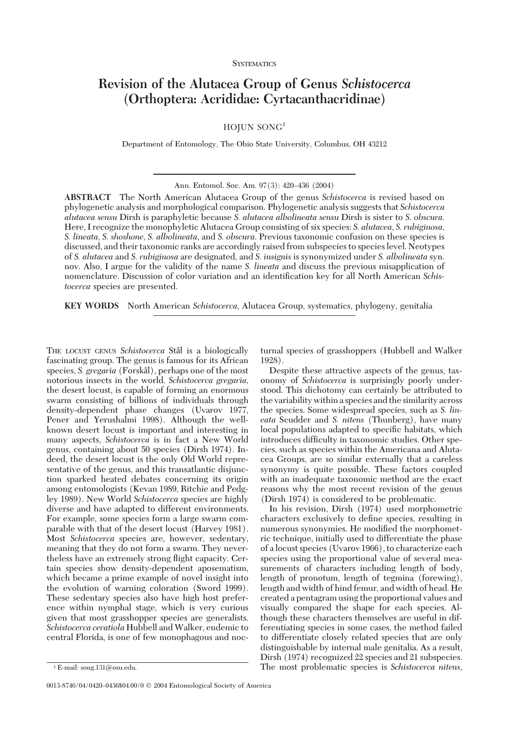**SYSTEMATICS** 

# **Revision of the Alutacea Group of Genus** *Schistocerca* **(Orthoptera: Acrididae: Cyrtacanthacridinae)**

 $HOJUN SONG<sup>1</sup>$ 

Department of Entomology, The Ohio State University, Columbus, OH 43212

**ABSTRACT** The North American Alutacea Group of the genus *Schistocerca* is revised based on phylogenetic analysis and morphological comparison. Phylogenetic analysis suggests that *Schistocerca alutacea sensu* Dirsh is paraphyletic because *S. alutacea albolineata sensu* Dirsh is sister to *S. obscura*. Here, I recognize the monophyletic Alutacea Group consisting of six species: *S. alutacea*, *S. rubiginosa*, *S. lineata*, *S. shoshone*, *S. albolineata*, and *S. obscura*. Previous taxonomic confusion on these species is discussed, and their taxonomic ranks are accordingly raised from subspecies to species level. Neotypes of *S. alutacea* and *S. rubiginosa* are designated, and *S. insignis* is synonymized under *S. albolineata* syn. nov. Also, I argue for the validity of the name *S. lineata* and discuss the previous misapplication of nomenclature. Discussion of color variation and an identification key for all North American *Schistocerca* species are presented.

**KEY WORDS** North American *Schistocerca*, Alutacea Group, systematics, phylogeny, genitalia

THE LOCUST GENUS *Schistocerca* Stål is a biologically fascinating group. The genus is famous for its African species, *S. gregaria* (Forskål), perhaps one of the most notorious insects in the world. *Schistocerca gregaria,* the desert locust, is capable of forming an enormous swarm consisting of billions of individuals through density-dependent phase changes (Uvarov 1977, Pener and Yerushalmi 1998). Although the wellknown desert locust is important and interesting in many aspects, *Schistocerca* is in fact a New World genus, containing about 50 species (Dirsh 1974). Indeed, the desert locust is the only Old World representative of the genus, and this transatlantic disjunction sparked heated debates concerning its origin among entomologists (Kevan 1989, Ritchie and Pedgley 1989). New World *Schistocerca* species are highly diverse and have adapted to different environments. For example, some species form a large swarm comparable with that of the desert locust (Harvey 1981). Most *Schistocerca* species are, however, sedentary, meaning that they do not form a swarm. They nevertheless have an extremely strong ßight capacity. Certain species show density-dependent aposematism, which became a prime example of novel insight into the evolution of warning coloration (Sword 1999). These sedentary species also have high host preference within nymphal stage, which is very curious given that most grasshopper species are generalists. *Schistocerca ceratiola* Hubbell and Walker, endemic to central Florida, is one of few monophagous and noc-

0013-8746/04/0420-0436\$04.00/0 © 2004 Entomological Society of America

turnal species of grasshoppers (Hubbell and Walker 1928).

Despite these attractive aspects of the genus, taxonomy of *Schistocerca* is surprisingly poorly understood. This dichotomy can certainly be attributed to the variability within a species and the similarity across the species. Some widespread species, such as *S. lineata* Scudder and *S. nitens* (Thunberg), have many local populations adapted to specific habitats, which introduces difficulty in taxonomic studies. Other species, such as species within the Americana and Alutacea Groups, are so similar externally that a careless synonymy is quite possible. These factors coupled with an inadequate taxonomic method are the exact reasons why the most recent revision of the genus (Dirsh 1974) is considered to be problematic.

In his revision, Dirsh (1974) used morphometric characters exclusively to define species, resulting in numerous synonymies. He modified the morphometric technique, initially used to differentiate the phase of a locust species (Uvarov 1966), to characterize each species using the proportional value of several measurements of characters including length of body, length of pronotum, length of tegmina (forewing), length and width of hind femur, and width of head. He created a pentagram using the proportional values and visually compared the shape for each species. Although these characters themselves are useful in differentiating species in some cases, the method failed to differentiate closely related species that are only distinguishable by internal male genitalia. As a result, Dirsh (1974) recognized 22 species and 21 subspecies. The most problematic species is *Schistocerca nitens,* <sup>1</sup> E-mail: song.131@osu.edu.

Ann. Entomol. Soc. Am. 97(3): 420-436 (2004)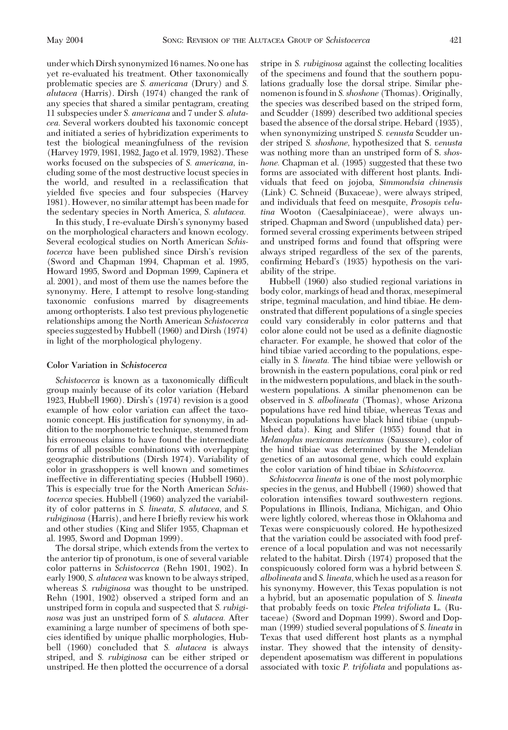under which Dirsh synonymized 16 names. No one has yet re-evaluated his treatment. Other taxonomically problematic species are *S. americana* (Drury) and *S. alutacea* (Harris). Dirsh (1974) changed the rank of any species that shared a similar pentagram, creating 11 subspecies under *S. americana* and 7 under *S. alutacea.* Several workers doubted his taxonomic concept and initiated a series of hybridization experiments to test the biological meaningfulness of the revision (Harvey 1979, 1981, 1982, Jago et al. 1979, 1982). These works focused on the subspecies of *S. americana,* including some of the most destructive locust species in the world, and resulted in a reclassification that yielded five species and four subspecies (Harvey 1981). However, no similar attempt has been made for the sedentary species in North America, *S. alutacea.*

In this study, I re-evaluate Dirsh's synonymy based on the morphological characters and known ecology. Several ecological studies on North American *Schis*tocerca have been published since Dirsh's revision (Sword and Chapman 1994, Chapman et al. 1995, Howard 1995, Sword and Dopman 1999, Capinera et al. 2001), and most of them use the names before the synonymy. Here, I attempt to resolve long-standing taxonomic confusions marred by disagreements among orthopterists. I also test previous phylogenetic relationships among the North American *Schistocerca* species suggested by Hubbell (1960) and Dirsh (1974) in light of the morphological phylogeny.

# **Color Variation in** *Schistocerca*

Schistocerca is known as a taxonomically difficult group mainly because of its color variation (Hebard 1923, Hubbell 1960). Dirsh's  $(1974)$  revision is a good example of how color variation can affect the taxonomic concept. His justification for synonymy, in addition to the morphometric technique, stemmed from his erroneous claims to have found the intermediate forms of all possible combinations with overlapping geographic distributions (Dirsh 1974). Variability of color in grasshoppers is well known and sometimes ineffective in differentiating species (Hubbell 1960). This is especially true for the North American *Schistocerca* species. Hubbell (1960) analyzed the variability of color patterns in *S. lineata, S. alutacea,* and *S. rubiginosa* (Harris), and here I brießy review his work and other studies (King and Slifer 1955, Chapman et al. 1995, Sword and Dopman 1999).

The dorsal stripe, which extends from the vertex to the anterior tip of pronotum, is one of several variable color patterns in *Schistocerca* (Rehn 1901, 1902). In early 1900, *S. alutacea* was known to be always striped, whereas *S. rubiginosa* was thought to be unstriped. Rehn (1901, 1902) observed a striped form and an unstriped form in copula and suspected that *S. rubiginosa* was just an unstriped form of *S. alutacea.* After examining a large number of specimens of both species identified by unique phallic morphologies, Hubbell (1960) concluded that *S. alutacea* is always striped, and *S. rubiginosa* can be either striped or unstriped. He then plotted the occurrence of a dorsal stripe in *S. rubiginosa* against the collecting localities of the specimens and found that the southern populations gradually lose the dorsal stripe. Similar phenomenon is found in *S. shoshone* (Thomas). Originally, the species was described based on the striped form, and Scudder (1899) described two additional species based the absence of the dorsal stripe. Hebard (1935), when synonymizing unstriped *S. venusta* Scudder under striped *S. shoshone,* hypothesized that S. *venusta* was nothing more than an unstriped form of S. *shoshone.* Chapman et al. (1995) suggested that these two forms are associated with different host plants. Individuals that feed on jojoba, *Simmondsia chinensis* (Link) C. Schneid (Buxaceae), were always striped, and individuals that feed on mesquite, *Prosopis velutina* Wooton (Caesalpiniaceae), were always unstriped. Chapman and Sword (unpublished data) performed several crossing experiments between striped and unstriped forms and found that offspring were always striped regardless of the sex of the parents, confirming Hebard's (1935) hypothesis on the variability of the stripe.

Hubbell (1960) also studied regional variations in body color, markings of head and thorax, mesepimeral stripe, tegminal maculation, and hind tibiae. He demonstrated that different populations of a single species could vary considerably in color patterns and that color alone could not be used as a definite diagnostic character. For example, he showed that color of the hind tibiae varied according to the populations, especially in *S. lineata.* The hind tibiae were yellowish or brownish in the eastern populations, coral pink or red in the midwestern populations, and black in the southwestern populations. A similar phenomenon can be observed in *S. albolineata* (Thomas), whose Arizona populations have red hind tibiae, whereas Texas and Mexican populations have black hind tibiae (unpublished data). King and Slifer (1955) found that in *Melanoplus mexicanus mexicanus* (Saussure), color of the hind tibiae was determined by the Mendelian genetics of an autosomal gene, which could explain the color variation of hind tibiae in *Schistocerca.*

*Schistocerca lineata* is one of the most polymorphic species in the genus, and Hubbell (1960) showed that coloration intensifies toward southwestern regions. Populations in Illinois, Indiana, Michigan, and Ohio were lightly colored, whereas those in Oklahoma and Texas were conspicuously colored. He hypothesized that the variation could be associated with food preference of a local population and was not necessarily related to the habitat. Dirsh (1974) proposed that the conspicuously colored form was a hybrid between *S. albolineata* and *S. lineata,* which he used as a reason for his synonymy. However, this Texas population is not a hybrid, but an aposematic population of *S. lineata* that probably feeds on toxic *Ptelea trifoliata* L. (Rutaceae) (Sword and Dopman 1999). Sword and Dopman (1999) studied several populations of *S. lineata* in Texas that used different host plants as a nymphal instar. They showed that the intensity of densitydependent aposematism was different in populations associated with toxic *P. trifoliata* and populations as-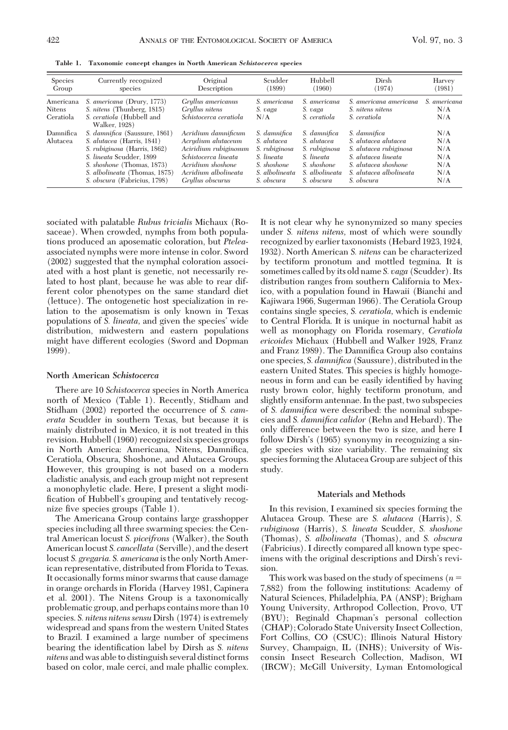**Table 1. Taxonomic concept changes in North American** *Schistocerca* **species**

| <b>Species</b><br>Group                 | Currently recognized<br>species                                                                                                                                                                                        | Original<br>Description                                                                                                                                     | Scudder<br>(1899)                                                                                         | Hubbell<br>(1960)                                                                                         | Dirsh<br>(1974)                                                                                                                                        | Harvey<br>(1981)                              |
|-----------------------------------------|------------------------------------------------------------------------------------------------------------------------------------------------------------------------------------------------------------------------|-------------------------------------------------------------------------------------------------------------------------------------------------------------|-----------------------------------------------------------------------------------------------------------|-----------------------------------------------------------------------------------------------------------|--------------------------------------------------------------------------------------------------------------------------------------------------------|-----------------------------------------------|
| Americana<br><b>Nitens</b><br>Ceratiola | S. americana (Drury, 1773)<br>S. nitens (Thunberg, 1815)<br>S. ceratiola (Hubbell and<br>Walker, 1928)                                                                                                                 | Gryllus americanus<br>Grullus nitens<br>Schistocerca ceratiola                                                                                              | S. americana<br>S. vaga<br>N/A                                                                            | S. americana<br>S. vaga<br>S. ceratiola                                                                   | S. americana americana<br>S. nitens nitens<br>S. ceratiola                                                                                             | S. americana<br>N/A<br>N/A                    |
| Damnifica<br>Alutacea                   | S. damnifica (Saussure, 1861)<br>S. alutacea (Harris, 1841)<br>S. rubiginosa (Harris, 1862)<br>S. lineata Scudder, 1899<br>S. shoshone (Thomas, 1873)<br>S. albolineata (Thomas, 1875)<br>S. obscura (Fabricius, 1798) | Acridium damnificum<br>Acrudium alutaceum<br>Aciridium rubiginosum<br>Schistocerca lineata<br>Acridium shoshone<br>Acridium albolineata<br>Gryllus obscurus | S. damnifica<br>S. alutacea<br>S. rubiginosa<br>S. lineata<br>S. shoshone<br>S. albolineata<br>S. obscura | S. damnifica<br>S. alutacea<br>S. rubiginosa<br>S. lineata<br>S. shoshone<br>S. albolineata<br>S. obscura | S. damnifica<br>S. alutacea alutacea<br>S. alutacea rubiginosa<br>S. alutacea lineata<br>S. alutacea shoshone<br>S. alutacea albolineata<br>S. obscura | N/A<br>N/A<br>N/A<br>N/A<br>N/A<br>N/A<br>N/A |

sociated with palatable *Rubus trivialis* Michaux (Rosaceae). When crowded, nymphs from both populations produced an aposematic coloration, but *Ptelea*associated nymphs were more intense in color. Sword (2002) suggested that the nymphal coloration associated with a host plant is genetic, not necessarily related to host plant, because he was able to rear different color phenotypes on the same standard diet (lettuce). The ontogenetic host specialization in relation to the aposematism is only known in Texas populations of *S. lineata*, and given the species' wide distribution, midwestern and eastern populations might have different ecologies (Sword and Dopman 1999).

#### **North American** *Schistocerca*

There are 10 *Schistocerca* species in North America north of Mexico (Table 1). Recently, Stidham and Stidham (2002) reported the occurrence of *S. camerata* Scudder in southern Texas, but because it is mainly distributed in Mexico, it is not treated in this revision. Hubbell (1960) recognized six species groups in North America: Americana, Nitens, Damnifica, Ceratiola, Obscura, Shoshone, and Alutacea Groups. However, this grouping is not based on a modern cladistic analysis, and each group might not represent a monophyletic clade. Here, I present a slight modification of Hubbell's grouping and tentatively recognize five species groups (Table 1).

The Americana Group contains large grasshopper species including all three swarming species: the Central American locust *S. piceifrons* (Walker), the South American locust *S. cancellata* (Serville), and the desert locust *S. gregaria. S. americana* is the only North American representative, distributed from Florida to Texas. It occasionally forms minor swarms that cause damage in orange orchards in Florida (Harvey 1981, Capinera et al. 2001). The Nitens Group is a taxonomically problematic group, and perhaps contains more than 10 species. *S. nitens nitens sensu* Dirsh (1974) is extremely widespread and spans from the western United States to Brazil. I examined a large number of specimens bearing the identification label by Dirsh as *S. nitens nitens* and was able to distinguish several distinct forms based on color, male cerci, and male phallic complex. It is not clear why he synonymized so many species under *S. nitens nitens,* most of which were soundly recognized by earlier taxonomists (Hebard 1923, 1924, 1932). North American *S. nitens* can be characterized by tectiform pronotum and mottled tegmina. It is sometimes called by its old name *S. vaga* (Scudder). Its distribution ranges from southern California to Mexico, with a population found in Hawaii (Bianchi and Kajiwara 1966, Sugerman 1966). The Ceratiola Group contains single species, *S. ceratiola,* which is endemic to Central Florida. It is unique in nocturnal habit as well as monophagy on Florida rosemary, *Ceratiola ericoides* Michaux (Hubbell and Walker 1928, Franz and Franz 1989). The Damnifica Group also contains one species, *S. damnifica* (Saussure), distributed in the eastern United States. This species is highly homogeneous in form and can be easily identified by having rusty brown color, highly tectiform pronotum, and slightly ensiform antennae. In the past, two subspecies of *S. damnifica* were described: the nominal subspecies and *S. damnifica calidor* (Rehn and Hebard). The only difference between the two is size, and here I follow Dirsh's (1965) synonymy in recognizing a single species with size variability. The remaining six species forming the Alutacea Group are subject of this study.

#### **Materials and Methods**

In this revision, I examined six species forming the Alutacea Group. These are *S. alutacea* (Harris), *S. rubiginosa* (Harris), *S. lineata* Scudder, *S. shoshone* (Thomas), *S. albolineata* (Thomas), and *S. obscura* (Fabricius). I directly compared all known type specimens with the original descriptions and Dirsh's revision.

This work was based on the study of specimens (*n* 7,882) from the following institutions: Academy of Natural Sciences, Philadelphia, PA (ANSP); Brigham Young University, Arthropod Collection, Provo, UT (BYU); Reginald Chapman's personal collection (CHAP); Colorado State University Insect Collection, Fort Collins, CO (CSUC); Illinois Natural History Survey, Champaign, IL (INHS); University of Wisconsin Insect Research Collection, Madison, WI (IRCW); McGill University, Lyman Entomological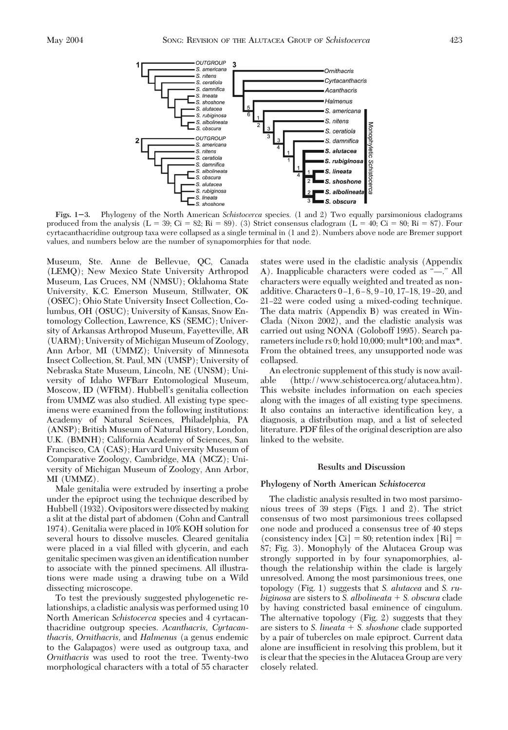

**Figs. 13.** Phylogeny of the North American *Schistocerca* species. (1 and 2) Two equally parsimonious cladograms produced from the analysis (L = 39; Ci = 82; Ri = 89). (3) Strict consensus cladogram (L = 40; Ci = 80; Ri = 87). Four cyrtacanthacridine outgroup taxa were collapsed as a single terminal in (1 and 2). Numbers above node are Bremer support values, and numbers below are the number of synapomorphies for that node.

Museum, Ste. Anne de Bellevue, QC, Canada (LEMQ); New Mexico State University Arthropod Museum, Las Cruces, NM (NMSU); Oklahoma State University, K.C. Emerson Museum, Stillwater, OK (OSEC); Ohio State University Insect Collection, Columbus, OH (OSUC); University of Kansas, Snow Entomology Collection, Lawrence, KS (SEMC); University of Arkansas Arthropod Museum, Fayetteville, AR (UARM); University of Michigan Museum of Zoology, Ann Arbor, MI (UMMZ); University of Minnesota Insect Collection, St. Paul, MN (UMSP); University of Nebraska State Museum, Lincoln, NE (UNSM); University of Idaho WFBarr Entomological Museum, Moscow, ID (WFRM). Hubbell's genitalia collection from UMMZ was also studied. All existing type specimens were examined from the following institutions: Academy of Natural Sciences, Philadelphia, PA (ANSP); British Museum of Natural History, London, U.K. (BMNH); California Academy of Sciences, San Francisco, CA (CAS); Harvard University Museum of Comparative Zoology, Cambridge, MA (MCZ); University of Michigan Museum of Zoology, Ann Arbor, MI (UMMZ).

Male genitalia were extruded by inserting a probe under the epiproct using the technique described by Hubbell (1932). Ovipositors were dissected by making a slit at the distal part of abdomen (Cohn and Cantrall 1974). Genitalia were placed in 10% KOH solution for several hours to dissolve muscles. Cleared genitalia were placed in a vial filled with glycerin, and each genitalic specimen was given an identification number to associate with the pinned specimens. All illustrations were made using a drawing tube on a Wild dissecting microscope.

To test the previously suggested phylogenetic relationships, a cladistic analysis was performed using 10 North American *Schistocerca* species and 4 cyrtacanthacridine outgroup species. *Acanthacris, Cyrtacanthacris, Ornithacris,* and *Halmenus* (a genus endemic to the Galapagos) were used as outgroup taxa, and *Ornithacris* was used to root the tree. Twenty-two morphological characters with a total of 55 character states were used in the cladistic analysis (Appendix A). Inapplicable characters were coded as "—." All characters were equally weighted and treated as nonadditive. Characters 0-1, 6-8, 9-10, 17-18, 19-20, and 21–22 were coded using a mixed-coding technique. The data matrix (Appendix B) was created in Win-Clada (Nixon 2002), and the cladistic analysis was carried out using NONA (Goloboff 1995). Search parameters include rs 0; hold 10,000; mult\*100; and max\*. From the obtained trees, any unsupported node was collapsed.

An electronic supplement of this study is now available (http://www.schistocerca.org/alutacea.htm). This website includes information on each species along with the images of all existing type specimens. It also contains an interactive identification key, a diagnosis, a distribution map, and a list of selected literature. PDF files of the original description are also linked to the website.

#### **Results and Discussion**

# **Phylogeny of North American** *Schistocerca*

The cladistic analysis resulted in two most parsimonious trees of 39 steps (Figs. 1 and 2). The strict consensus of two most parsimonious trees collapsed one node and produced a consensus tree of 40 steps (consistency index  $|Ci| = 80$ ; retention index  $|Ri| =$ 87; Fig. 3). Monophyly of the Alutacea Group was strongly supported in by four synapomorphies, although the relationship within the clade is largely unresolved. Among the most parsimonious trees, one topology (Fig. 1) suggests that *S. alutacea* and *S. rubiginosa* are sisters to *S. albolineata* - *S. obscura* clade by having constricted basal eminence of cingulum. The alternative topology (Fig. 2) suggests that they are sisters to *S. lineata* - *S. shoshone* clade supported by a pair of tubercles on male epiproct. Current data alone are insufficient in resolving this problem, but it is clear that the species in the Alutacea Group are very closely related.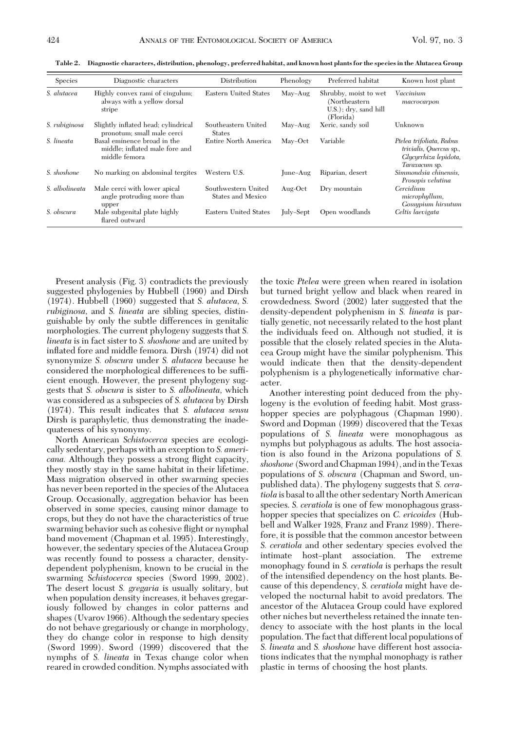| <b>Species</b> | Diagnostic characters                                                          | Distribution                             | Phenology | Preferred habitat                                                            | Known host plant                                                                              |
|----------------|--------------------------------------------------------------------------------|------------------------------------------|-----------|------------------------------------------------------------------------------|-----------------------------------------------------------------------------------------------|
| S. alutacea    | Highly convex rami of cingulum;<br>always with a yellow dorsal<br>stripe       | Eastern United States                    | May-Aug   | Shrubby, moist to wet<br>(Northeastern<br>U.S.); dry, sand hill<br>(Florida) | Vaccinium<br>macrocarpon                                                                      |
| S. rubiginosa  | Slightly inflated head; cylindrical<br>pronotum; small male cerci              | Southeastern United<br><b>States</b>     | May-Aug   | Xeric, sandy soil                                                            | Unknown                                                                                       |
| S. lineata     | Basal eminence broad in the<br>middle; inflated male fore and<br>middle femora | Entire North America                     | May-Oct   | Variable                                                                     | Ptelea trifoliata, Rubus<br>trivialis, Quercus sp.,<br>Glycyrrhiza lepidota,<br>Taraxacum sp. |
| S. shoshone    | No marking on abdominal tergites                                               | Western U.S.                             | June-Aug  | Riparian, desert                                                             | Simmondsia chinensis.<br>Prosopis velutina                                                    |
| S. albolineata | Male cerci with lower apical<br>angle protruding more than<br>upper            | Southwestern United<br>States and Mexico | Aug-Oct   | Dry mountain                                                                 | Cercidium<br>microphyllum,<br>Gossupium hirsutum                                              |
| S. obscura     | Male subgenital plate highly<br>flared outward                                 | Eastern United States                    | July-Sept | Open woodlands                                                               | Celtis laevigata                                                                              |

**Table 2. Diagnostic characters, distribution, phenology, preferred habitat, and known host plants for the species in the Alutacea Group**

Present analysis (Fig. 3) contradicts the previously suggested phylogenies by Hubbell (1960) and Dirsh (1974). Hubbell (1960) suggested that *S. alutacea, S. rubiginosa,* and *S. lineata* are sibling species, distinguishable by only the subtle differences in genitalic morphologies. The current phylogeny suggests that *S. lineata* is in fact sister to *S. shoshone* and are united by inßated fore and middle femora. Dirsh (1974) did not synonymize *S. obscura* under *S. alutacea* because he considered the morphological differences to be sufÞcient enough. However, the present phylogeny suggests that *S. obscura* is sister to *S. albolineata,* which was considered as a subspecies of *S. alutacea* by Dirsh (1974). This result indicates that *S. alutacea sensu* Dirsh is paraphyletic, thus demonstrating the inadequateness of his synonymy.

North American *Schistocerca* species are ecologically sedentary, perhaps with an exception to *S. americana.* Although they possess a strong ßight capacity, they mostly stay in the same habitat in their lifetime. Mass migration observed in other swarming species has never been reported in the species of the Alutacea Group. Occasionally, aggregation behavior has been observed in some species, causing minor damage to crops, but they do not have the characteristics of true swarming behavior such as cohesive ßight or nymphal band movement (Chapman et al. 1995). Interestingly, however, the sedentary species of the Alutacea Group was recently found to possess a character, densitydependent polyphenism, known to be crucial in the swarming *Schistocerca* species (Sword 1999, 2002). The desert locust *S. gregaria* is usually solitary, but when population density increases, it behaves gregariously followed by changes in color patterns and shapes (Uvarov 1966). Although the sedentary species do not behave gregariously or change in morphology, they do change color in response to high density (Sword 1999). Sword (1999) discovered that the nymphs of *S. lineata* in Texas change color when reared in crowded condition. Nymphs associated with

the toxic *Ptelea* were green when reared in isolation but turned bright yellow and black when reared in crowdedness. Sword (2002) later suggested that the density-dependent polyphenism in *S. lineata* is partially genetic, not necessarily related to the host plant the individuals feed on. Although not studied, it is possible that the closely related species in the Alutacea Group might have the similar polyphenism. This would indicate then that the density-dependent polyphenism is a phylogenetically informative character.

Another interesting point deduced from the phylogeny is the evolution of feeding habit. Most grasshopper species are polyphagous (Chapman 1990). Sword and Dopman (1999) discovered that the Texas populations of *S. lineata* were monophagous as nymphs but polyphagous as adults. The host association is also found in the Arizona populations of *S. shoshone* (Sword and Chapman 1994), andin the Texas populations of *S. obscura* (Chapman and Sword, unpublished data). The phylogeny suggests that *S. ceratiola* is basal to all the other sedentary North American species. *S. ceratiola* is one of few monophagous grasshopper species that specializes on *C. ericoides* (Hubbell and Walker 1928, Franz and Franz 1989). Therefore, it is possible that the common ancestor between *S. ceratiola* and other sedentary species evolved the intimate host-plant association. The extreme monophagy found in *S. ceratiola* is perhaps the result of the intensified dependency on the host plants. Because of this dependency, *S. ceratiola* might have developed the nocturnal habit to avoid predators. The ancestor of the Alutacea Group could have explored other niches but nevertheless retained the innate tendency to associate with the host plants in the local population. The fact that different local populations of *S. lineata* and *S. shoshone* have different host associations indicates that the nymphal monophagy is rather plastic in terms of choosing the host plants.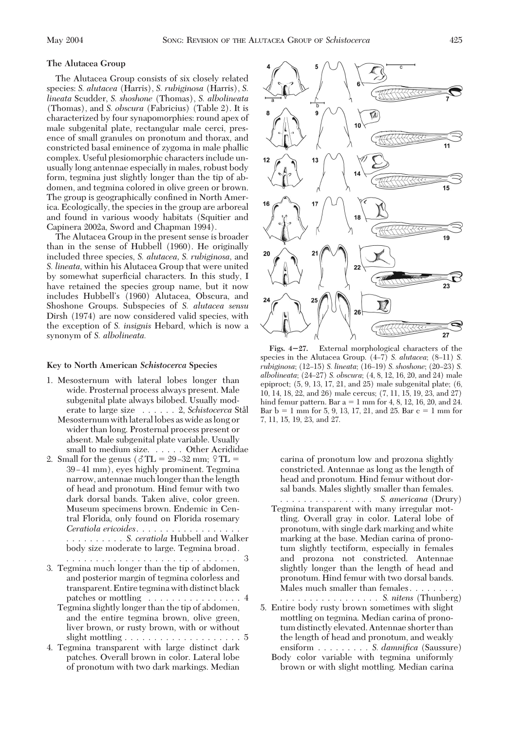# **The Alutacea Group**

The Alutacea Group consists of six closely related species: *S. alutacea* (Harris), *S. rubiginosa* (Harris), *S. lineata* Scudder, *S. shoshone* (Thomas), *S. albolineata* (Thomas), and *S. obscura* (Fabricius) (Table 2). It is characterized by four synapomorphies: round apex of male subgenital plate, rectangular male cerci, presence of small granules on pronotum and thorax, and constricted basal eminence of zygoma in male phallic complex. Useful plesiomorphic characters include unusually long antennae especially in males, robust body form, tegmina just slightly longer than the tip of abdomen, and tegmina colored in olive green or brown. The group is geographically confined in North America. Ecologically, the species in the group are arboreal and found in various woody habitats (Squitier and Capinera 2002a, Sword and Chapman 1994).

The Alutacea Group in the present sense is broader than in the sense of Hubbell (1960). He originally included three species, *S. alutacea, S. rubiginosa,* and *S. lineata,* within his Alutacea Group that were united by somewhat superficial characters. In this study, I have retained the species group name, but it now includes Hubbell's (1960) Alutacea, Obscura, and Shoshone Groups. Subspecies of *S. alutacea sensu* Dirsh (1974) are now considered valid species, with the exception of *S. insignis* Hebard, which is now a synonym of *S. albolineata.*

#### **Key to North American** *Schistocerca* **Species**

- 1. Mesosternum with lateral lobes longer than wide. Prosternal process always present. Male subgenital plate always bilobed. Usually moderate to large size . . . . . . 2, *Schistocerca* Stål
	- Mesosternum with lateral lobes as wide as long or wider than long. Prosternal process present or absent. Male subgenital plate variable. Usually small to medium size. ..... Other Acrididae
- 2. Small for the genus ( $\delta$ TL = 29–32 mm;  $\Omega$ TL = 39-41 mm), eyes highly prominent. Tegmina narrow, antennae much longer than the length of head and pronotum. Hind femur with two dark dorsal bands. Taken alive, color green. Museum specimens brown. Endemic in Central Florida, only found on Florida rosemary *Ceratiola ericoides*..................

.......... *S. ceratiola* Hubbell and Walker body size moderate to large. Tegmina broad.

- ............................. 3 3. Tegmina much longer than the tip of abdomen, and posterior margin of tegmina colorless and transparent. Entire tegmina with distinct black patches or mottling . . . . . . . . . . . . . . . 4
	- Tegmina slightly longer than the tip of abdomen, and the entire tegmina brown, olive green, liver brown, or rusty brown, with or without slight mottling ....................5
- 4. Tegmina transparent with large distinct dark patches. Overall brown in color. Lateral lobe of pronotum with two dark markings. Median



**Figs. 427.** External morphological characters of the species in the Alutacea Group.  $(4-7)$  *S. alutacea*;  $(8-11)$  *S. rubiginosa*; (12–15) *S. lineata*; (16–19) *S. shoshone*; (20–23) *S. albolineata*; (24Ð27) *S. obscura*; (4, 8, 12, 16, 20, and 24) male epiproct;  $(5, 9, 13, 17, 21,$  and  $25)$  male subgenital plate;  $(6, 12)$ 10, 14, 18, 22, and 26) male cercus; (7, 11, 15, 19, 23, and 27) hind femur pattern. Bar  $a = 1$  mm for 4, 8, 12, 16, 20, and 24. Bar  $b = 1$  mm for 5, 9, 13, 17, 21, and 25. Bar  $c = 1$  mm for 7, 11, 15, 19, 23, and 27.

carina of pronotum low and prozona slightly constricted. Antennae as long as the length of head and pronotum. Hind femur without dorsal bands. Males slightly smaller than females.

................ *S. americana* (Drury) Tegmina transparent with many irregular mottling. Overall gray in color. Lateral lobe of pronotum, with single dark marking and white marking at the base. Median carina of pronotum slightly tectiform, especially in females and prozona not constricted. Antennae slightly longer than the length of head and pronotum. Hind femur with two dorsal bands. Males much smaller than females........

................. *S. nitens* (Thunberg)

- 5. Entire body rusty brown sometimes with slight mottling on tegmina. Median carina of pronotum distinctly elevated. Antennae shorter than the length of head and pronotum, and weakly ensiform ......... *S. damnifica* (Saussure) Body color variable with tegmina uniformly
	- brown or with slight mottling. Median carina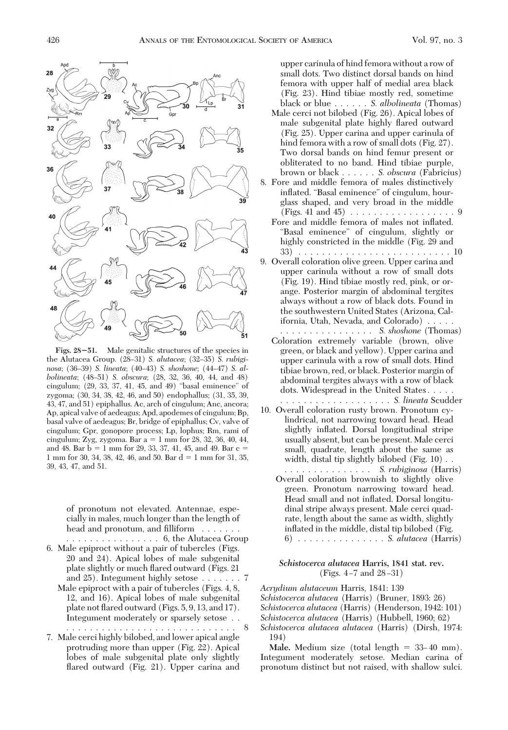

**Figs. 2851.** Male genitalic structures of the species in the Alutacea Group. (28-31) *S. alutacea*; (32-35) *S. rubiginosa*; (36-39) *S. lineata*; (40-43) *S. shoshone*; (44-47) *S. albolineata*; (48Ð51) *S. obscura*; (28, 32, 36, 40, 44, and 48) cingulum; (29, 33, 37, 41, 45, and 49) "basal eminence" of zygoma; (30, 34, 38, 42, 46, and 50) endophallus; (31, 35, 39, 43, 47, and 51) epiphallus. Ac, arch of cingulum; Anc, ancora; Ap, apical valve of aedeagus; Apd, apodemes of cingulum; Bp, basal valve of aedeagus; Br, bridge of epiphallus; Cv, valve of cingulum; Gpr, gonopore process; Lp, lophus; Rm, rami of cingulum; Zyg, zygoma. Bar  $a = 1$  mm for 28, 32, 36, 40, 44, and 48. Bar  $b = 1$  mm for 29, 33, 37, 41, 45, and 49. Bar  $c =$ 1 mm for 30, 34, 38, 42, 46, and 50. Bar  $d = 1$  mm for 31, 35, 39, 43, 47, and 51.

of pronotum not elevated. Antennae, especially in males, much longer than the length of head and pronotum, and filliform  $\dots \dots$ 

. . . . . . . . . . . . . . . . 6, the Alutacea Group

- 6. Male epiproct without a pair of tubercles (Figs. 20 and 24). Apical lobes of male subgenital plate slightly or much ßared outward (Figs. 21 and 25). Integument highly setose .......7
	- Male epiproct with a pair of tubercles (Figs. 4, 8, 12, and 16). Apical lobes of male subgenital plate not ßared outward (Figs. 5, 9, 13, and 17). Integument moderately or sparsely setose . .
- ............................. 8 7. Male cerci highly bilobed, and lower apical angle protruding more than upper (Fig. 22). Apical lobes of male subgenital plate only slightly flared outward (Fig. 21). Upper carina and

upper carinula of hind femora without a row of small dots. Two distinct dorsal bands on hind femora with upper half of medial area black (Fig. 23). Hind tibiae mostly red, sometime black or blue ...... *S. albolineata* (Thomas)

- Male cerci not bilobed (Fig. 26). Apical lobes of male subgenital plate highly ßared outward (Fig. 25). Upper carina and upper carinula of hind femora with a row of small dots (Fig. 27). Two dorsal bands on hind femur present or obliterated to no band. Hind tibiae purple, brown or black ...... *S. obscura* (Fabricius)
- 8. Fore and middle femora of males distinctively inßated. "Basal eminence" of cingulum, hourglass shaped, and very broad in the middle (Figs. 41 and 45) ..................9
	- Fore and middle femora of males not inßated. "Basal eminence" of cingulum, slightly or highly constricted in the middle (Fig. 29 and 33) . . . . . . . . . . . . . . . . . . . . . . . . . . 10
- 9. Overall coloration olive green. Upper carina and upper carinula without a row of small dots (Fig. 19). Hind tibiae mostly red, pink, or orange. Posterior margin of abdominal tergites always without a row of black dots. Found in the southwestern United States (Arizona, California, Utah, Nevada, and Colorado) .....
	- ................ *S. shoshone* (Thomas) Coloration extremely variable (brown, olive green, or black and yellow). Upper carina and upper carinula with a row of small dots. Hind tibiae brown, red, or black. Posterior margin of abdominal tergites always with a row of black dots. Widespread in the United States..... ................... *S. lineata* Scudder
- 10. Overall coloration rusty brown. Pronotum cylindrical, not narrowing toward head. Head slightly inßated. Dorsal longitudinal stripe usually absent, but can be present. Male cerci small, quadrate, length about the same as width, distal tip slightly bilobed (Fig. 10) . .
	- ............... *S. rubiginosa* (Harris) Overall coloration brownish to slightly olive green. Pronotum narrowing toward head. Head small and not inßated. Dorsal longitudinal stripe always present. Male cerci quadrate, length about the same as width, slightly inflated in the middle, distal tip bilobed (Fig. 6) . . . . . . . . . . . . . . . *S. alutacea* (Harris)

# *Schistocerca alutacea* **Harris, 1841 stat. rev.** (Figs.  $4-7$  and  $28-31$ )

*Acrydium alutaceum* Harris, 1841: 139

*Schistocerca alutacea* (Harris) (Bruner, 1893: 26)

*Schistocerca alutacea* (Harris) (Henderson, 1942: 101)

*Schistocerca alutacea* (Harris) (Hubbell, 1960; 62)

*Schistocerca alutacea alutacea* (Harris) (Dirsh, 1974: 194)

**Male.** Medium size (total length  $= 33-40$  mm). Integument moderately setose. Median carina of pronotum distinct but not raised, with shallow sulci.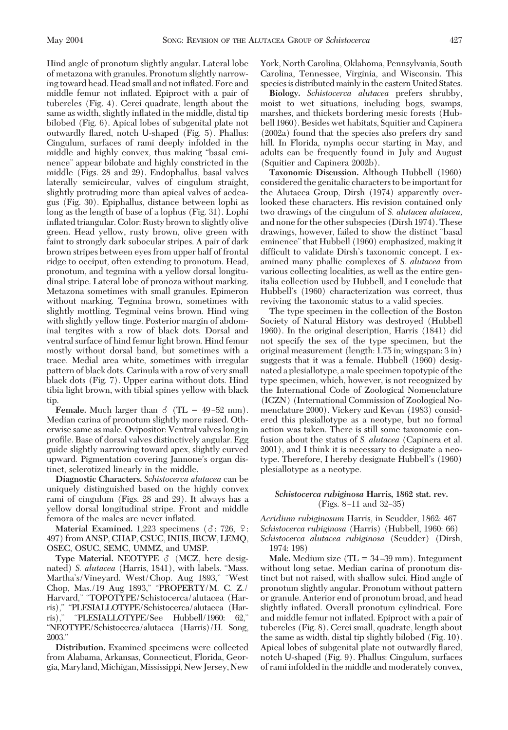Hind angle of pronotum slightly angular. Lateral lobe of metazona with granules. Pronotum slightly narrowing toward head. Head small and not inßated. Fore and middle femur not inßated. Epiproct with a pair of tubercles (Fig. 4). Cerci quadrate, length about the same as width, slightly inflated in the middle, distal tip bilobed (Fig. 6). Apical lobes of subgenital plate not outwardly ßared, notch U-shaped (Fig. 5). Phallus: Cingulum, surfaces of rami deeply infolded in the middle and highly convex, thus making "basal eminence" appear bilobate and highly constricted in the middle (Figs. 28 and 29). Endophallus, basal valves laterally semicircular, valves of cingulum straight, slightly protruding more than apical valves of aedeagus (Fig. 30). Epiphallus, distance between lophi as long as the length of base of a lophus (Fig. 31). Lophi inßated triangular. Color: Rusty brown to slightly olive green. Head yellow, rusty brown, olive green with faint to strongly dark subocular stripes. A pair of dark brown stripes between eyes from upper half of frontal ridge to occiput, often extending to pronotum. Head, pronotum, and tegmina with a yellow dorsal longitudinal stripe. Lateral lobe of pronoza without marking. Metazona sometimes with small granules. Epimeron without marking. Tegmina brown, sometimes with slightly mottling. Tegminal veins brown. Hind wing with slightly yellow tinge. Posterior margin of abdominal tergites with a row of black dots. Dorsal and ventral surface of hind femur light brown. Hind femur mostly without dorsal band, but sometimes with a trace. Medial area white, sometimes with irregular pattern of black dots. Carinula with a row of very small black dots (Fig. 7). Upper carina without dots. Hind tibia light brown, with tibial spines yellow with black tip.

**Female.** Much larger than  $\delta$  (TL = 49-52 mm). Median carina of pronotum slightly more raised. Otherwise same as male. Ovipositor: Ventral valves long in profile. Base of dorsal valves distinctively angular. Egg guide slightly narrowing toward apex, slightly curved upward. Pigmentation covering Jannone's organ distinct, sclerotized linearly in the middle.

**Diagnostic Characters.** *Schistocerca alutacea* can be uniquely distinguished based on the highly convex rami of cingulum (Figs. 28 and 29). It always has a yellow dorsal longitudinal stripe. Front and middle femora of the males are never inßated.

**Material Examined.** 1,223 specimens ( $\delta$ : 726,  $\Omega$ : 497) from ANSP, CHAP, CSUC, INHS, IRCW, LEMQ, OSEC, OSUC, SEMC, UMMZ, and UMSP.

**Type Material. NEOTYPE**  $\delta$  **(MCZ, here desig**nated) *S. alutacea* (Harris, 1841), with labels. "Mass. Martha's/Vineyard. West/Chop. Aug 1893," "West Chop, Mas./19 Aug 1893," "PROPERTY/M. C. Z./ Harvard," "TOPOTYPE/Schistocerca/alutacea (Harris)," "PLESIALLOTYPE/Schistocerca/alutacea (Harris)," "PLESIALLOTYPE/See Hubbell/1960: 62," "NEOTYPE/Schistocerca/alutacea (Harris)/H. Song, 2003."

**Distribution.** Examined specimens were collected from Alabama, Arkansas, Connecticut, Florida, Georgia,Maryland,Michigan,Mississippi, New Jersey, New York, North Carolina, Oklahoma, Pennsylvania, South Carolina, Tennessee, Virginia, and Wisconsin. This species is distributed mainly in the eastern United States.

**Biology.** *Schistocerca alutacea* prefers shrubby, moist to wet situations, including bogs, swamps, marshes, and thickets bordering mesic forests (Hubbell 1960). Besides wet habitats, Squitier and Capinera (2002a) found that the species also prefers dry sand hill. In Florida, nymphs occur starting in May, and adults can be frequently found in July and August (Squitier and Capinera 2002b).

**Taxonomic Discussion.** Although Hubbell (1960) considered the genitalic characters to be important for the Alutacea Group, Dirsh (1974) apparently overlooked these characters. His revision contained only two drawings of the cingulum of *S. alutacea alutacea,* and none for the other subspecies (Dirsh 1974). These drawings, however, failed to show the distinct "basal eminence"that Hubbell (1960) emphasized, making it difficult to validate Dirsh's taxonomic concept. I examined many phallic complexes of *S. alutacea* from various collecting localities, as well as the entire genitalia collection used by Hubbell, and I conclude that Hubbell's (1960) characterization was correct, thus reviving the taxonomic status to a valid species.

The type specimen in the collection of the Boston Society of Natural History was destroyed (Hubbell 1960). In the original description, Harris (1841) did not specify the sex of the type specimen, but the original measurement (length: 1.75 in; wingspan: 3 in) suggests that it was a female. Hubbell (1960) designated a plesiallotype, a male specimen topotypic of the type specimen, which, however, is not recognized by the International Code of Zoological Nomenclature (ICZN) (International Commission of Zoological Nomenclature 2000). Vickery and Kevan (1983) considered this plesiallotype as a neotype, but no formal action was taken. There is still some taxonomic confusion about the status of *S. alutacea* (Capinera et al. 2001), and I think it is necessary to designate a neotype. Therefore, I hereby designate Hubbell's (1960) plesiallotype as a neotype.

# *Schistocerca rubiginosa* **Harris, 1862 stat. rev.**  $(Figs. 8-11$  and  $32-35)$

*Acridium rubiginosum* Harris, in Scudder, 1862: 467 *Schistocerca rubiginosa* (Harris) (Hubbell, 1960: 66) *Schistocerca alutacea rubiginosa* (Scudder) (Dirsh, 1974: 198)

**Male.** Medium size  $(TL = 34-39$  mm). Integument without long setae. Median carina of pronotum distinct but not raised, with shallow sulci. Hind angle of pronotum slightly angular. Pronotum without pattern or granule. Anterior end of pronotum broad, and head slightly inßated. Overall pronotum cylindrical. Fore and middle femur not inßated. Epiproct with a pair of tubercles (Fig. 8). Cerci small, quadrate, length about the same as width, distal tip slightly bilobed (Fig. 10). Apical lobes of subgenital plate not outwardly ßared, notch U-shaped (Fig. 9). Phallus: Cingulum, surfaces of rami infolded in the middle and moderately convex,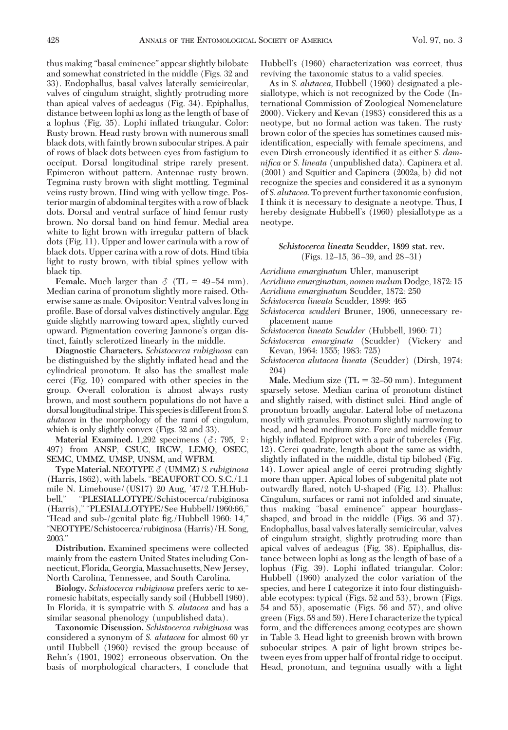thus making "basal eminence" appear slightly bilobate and somewhat constricted in the middle (Figs. 32 and 33). Endophallus, basal valves laterally semicircular, valves of cingulum straight, slightly protruding more than apical valves of aedeagus (Fig. 34). Epiphallus, distance between lophi as long as the length of base of a lophus (Fig. 35). Lophi inßated triangular. Color: Rusty brown. Head rusty brown with numerous small black dots, with faintly brown subocular stripes. A pair of rows of black dots between eyes from fastigium to occiput. Dorsal longitudinal stripe rarely present. Epimeron without pattern. Antennae rusty brown. Tegmina rusty brown with slight mottling. Tegminal veins rusty brown. Hind wing with yellow tinge. Posterior margin of abdominal tergites with a row of black dots. Dorsal and ventral surface of hind femur rusty brown. No dorsal band on hind femur. Medial area white to light brown with irregular pattern of black dots (Fig. 11). Upper and lower carinula with a row of black dots. Upper carina with a row of dots. Hind tibia light to rusty brown, with tibial spines yellow with black tip.

**Female.** Much larger than  $\delta$  (TL = 49-54 mm). Median carina of pronotum slightly more raised. Otherwise same as male. Ovipositor: Ventral valves long in profile. Base of dorsal valves distinctively angular. Egg guide slightly narrowing toward apex, slightly curved upward. Pigmentation covering Jannone's organ distinct, faintly sclerotized linearly in the middle.

**Diagnostic Characters.** *Schistocerca rubiginosa* can be distinguished by the slightly inßated head and the cylindrical pronotum. It also has the smallest male cerci (Fig. 10) compared with other species in the group. Overall coloration is almost always rusty brown, and most southern populations do not have a dorsallongitudinal stripe. This speciesis different from*S. alutacea* in the morphology of the rami of cingulum, which is only slightly convex (Figs. 32 and 33).

**Material Examined.** 1,292 specimens ( $\delta$ : 795,  $\Omega$ : 497) from ANSP, CSUC, IRCW, LEMQ, OSEC, SEMC, UMMZ, UMSP, UNSM, and WFRM.

**Type Material.**NEOTYPE - (UMMZ) *S. rubiginosa* (Harris, 1862), with labels. "BEAUFORT CO. S.C./1.1 mile N. Limehouse/(US17) 20 Aug,  $47/2$  T.H.Hubbell," "PLESIALLOTYPE/Schistocerca/rubiginosa (Harris)," "PLESIALLOTYPE/See Hubbell/1960:66," "Head and sub-/genital plate fig./Hubbell 1960: 14," "NEOTYPE/Schistocerca/rubiginosa (Harris)/H. Song, 2003."

**Distribution.** Examined specimens were collected mainly from the eastern United States including Connecticut, Florida, Georgia,Massachusetts, New Jersey, North Carolina, Tennessee, and South Carolina.

**Biology.** *Schistocerca rubiginosa* prefers xeric to xeromesic habitats, especially sandy soil (Hubbell 1960). In Florida, it is sympatric with *S. alutacea* and has a similar seasonal phenology (unpublished data).

**Taxonomic Discussion.** *Schistocerca rubiginosa* was considered a synonym of *S. alutacea* for almost 60 yr until Hubbell (1960) revised the group because of Rehn's (1901, 1902) erroneous observation. On the basis of morphological characters, I conclude that

Hubbell's (1960) characterization was correct, thus reviving the taxonomic status to a valid species.

As in *S. alutacea,* Hubbell (1960) designated a plesiallotype, which is not recognized by the Code (International Commission of Zoological Nomenclature 2000). Vickery and Kevan (1983) considered this as a neotype, but no formal action was taken. The rusty brown color of the species has sometimes caused misidentification, especially with female specimens, and even Dirsh erroneously identified it as either *S. damnifica* or *S. lineata* (unpublished data). Capinera et al. (2001) and Squitier and Capinera (2002a, b) did not recognize the species and considered it as a synonym of *S. alutacea.*To prevent further taxonomic confusion, I think it is necessary to designate a neotype. Thus, I hereby designate Hubbell's (1960) plesiallotype as a neotype.

## *Schistocerca lineata* **Scudder, 1899 stat. rev.** (Figs.  $12-15$ ,  $36-39$ , and  $28-31$ )

*Acridium emarginatum* Uhler, manuscript

*Acridium emarginatum*, *nomen nudum* Dodge, 1872: 15

*Acridium emarginatum* Scudder, 1872: 250

*Schistocerca lineata* Scudder, 1899: 465

*Schistocerca scudderi* Bruner, 1906, unnecessary replacement name

*Schistocerca lineata Scudder* (Hubbell, 1960: 71)

*Schistocerca emarginata* (Scudder) (Vickery and Kevan, 1964: 1555; 1983: 725)

*Schistocerca alutacea lineata* (Scudder) (Dirsh, 1974: 204)

**Male.** Medium size  $(TL = 32-50$  mm). Integument sparsely setose. Median carina of pronotum distinct and slightly raised, with distinct sulci. Hind angle of pronotum broadly angular. Lateral lobe of metazona mostly with granules. Pronotum slightly narrowing to head, and head medium size. Fore and middle femur highly inflated. Epiproct with a pair of tubercles (Fig. 12). Cerci quadrate, length about the same as width, slightly inflated in the middle, distal tip bilobed (Fig. 14). Lower apical angle of cerci protruding slightly more than upper. Apical lobes of subgenital plate not outwardly ßared, notch U-shaped (Fig. 13). Phallus: Cingulum, surfaces or rami not infolded and sinuate, thus making "basal eminence" appear hourglass– shaped, and broad in the middle (Figs. 36 and 37). Endophallus, basal valves laterally semicircular, valves of cingulum straight, slightly protruding more than apical valves of aedeagus (Fig. 38). Epiphallus, distance between lophi as long as the length of base of a lophus (Fig. 39). Lophi inßated triangular. Color: Hubbell (1960) analyzed the color variation of the species, and here I categorize it into four distinguishable ecotypes: typical (Figs. 52 and 53), brown (Figs. 54 and 55), aposematic (Figs. 56 and 57), and olive green (Figs. 58 and 59). Here I characterize the typical form, and the differences among ecotypes are shown in Table 3. Head light to greenish brown with brown subocular stripes. A pair of light brown stripes between eyes from upper half of frontal ridge to occiput. Head, pronotum, and tegmina usually with a light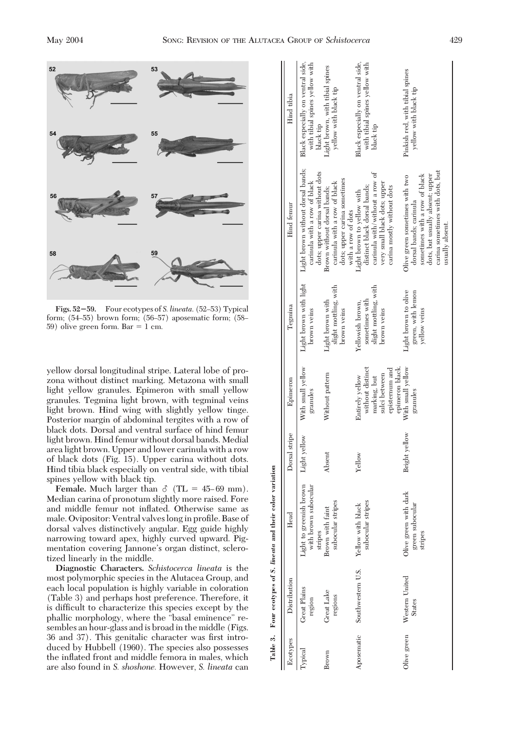

Figs. 52-59. Four ecotypes of *S. lineata*. (52-53) Typical form; (54–55) brown form; (56–57) aposematic form; (58– 59) olive green form. Bar  $= 1$  cm.

yellow dorsal longitudinal stripe. Lateral lobe of prozona without distinct marking. Metazona with small light yellow granules. Epimeron with small yellow granules. Tegmina light brown, with tegminal veins light brown. Hind wing with slightly yellow tinge. Posterior margin of abdominal tergites with a row of black dots. Dorsal and ventral surface of hind femur light brown. Hind femur without dorsal bands. Medial area light brown. Upper and lower carinula with a row of black dots (Fig. 15). Upper carina without dots. Hind tibia black especially on ventral side, with tibial spines yellow with black tip.

**Female.** Much larger than  $\delta$  (TL = 45–69 mm). Median carina of pronotum slightly more raised. Fore and middle femur not inßated. Otherwise same as male. Ovipositor: Ventral valves long in profile. Base of dorsal valves distinctively angular. Egg guide highly narrowing toward apex, highly curved upward. Pigmentation covering Jannone's organ distinct, sclerotized linearly in the middle.

**Diagnostic Characters.** *Schistocerca lineata* is the most polymorphic species in the Alutacea Group, and each local population is highly variable in coloration (Table 3) and perhaps host preference. Therefore, it is difficult to characterize this species except by the phallic morphology, where the "basal eminence" resembles an hour-glass and is broad in the middle (Figs. 36 and 37). This genitalic character was first introduced by Hubbell (1960). The species also possesses the inßated front and middle femora in males, which are also found in *S. shoshone.* However, *S. lineata* can

|             | Table 3. Four ecotypes of S. lineata and their color | variation                                                  |               |                                                                                                           |                                                                            |                                                                                                                                                                                    |                                                                                  |
|-------------|------------------------------------------------------|------------------------------------------------------------|---------------|-----------------------------------------------------------------------------------------------------------|----------------------------------------------------------------------------|------------------------------------------------------------------------------------------------------------------------------------------------------------------------------------|----------------------------------------------------------------------------------|
| Ecotypes    | Distribution                                         | Head                                                       | Dorsal stripe | Epimeron                                                                                                  | Tegmina                                                                    | Hind femur                                                                                                                                                                         | Hind tibia                                                                       |
| Fypical     | <b>Great Plains</b><br>region                        | Light to greenish brown<br>with brown subocular<br>stripes | Light yellow  | With small yellow<br>granules                                                                             | Light brown with light<br>brown veins                                      | Light brown without dorsal bands;<br>dots; upper carina without dots<br>carinula with a row of black                                                                               | Black especially on ventral side,<br>with tibial spines yellow with<br>black tip |
| Brown       | Great Lake<br>regions                                | subocular stripes<br>Brown with faint                      | Absent        | Without pattern                                                                                           | slight mottling, with<br>Light brown with<br>brown veins                   | dots; upper carina sometimes<br>carinula with a row of black<br>Brown without dorsal bands;<br>with a row of dots                                                                  | Light brown, with tibial spines<br>yellow with black tip                         |
|             | Aposematic Southwestern U.S.                         | subocular stripes<br>Yellow with black                     | Yellow        | without distinct<br>episternum and<br>epimeron black.<br>sulci between<br>Entirely yellow<br>marking, but | slight mottling, with<br>sometimes with<br>Yellowish brown,<br>brown veins | carinula with/without a row of<br>very small black dots; upper<br>distinct black dorsal bands;<br>carina mostly without dots<br>Light brown to yellow with                         | Black especially on ventral side,<br>with tibial spines yellow with<br>black tip |
| Olive green | Western United<br><b>States</b>                      | Olive green with dark<br>green subocular<br>stripes        | Bright yellow | With small yellow<br>granules                                                                             | Light brown to olive<br>green, with lemon<br>yellow veins                  | carina sometimes with dots, but<br>sometimes with a row of black<br>Olive green sometimes with two<br>dots, but usually absent; upper<br>dorsal bands; carinula<br>usually absent. | Pinkish red, with tibial spines<br>yellow with black tip                         |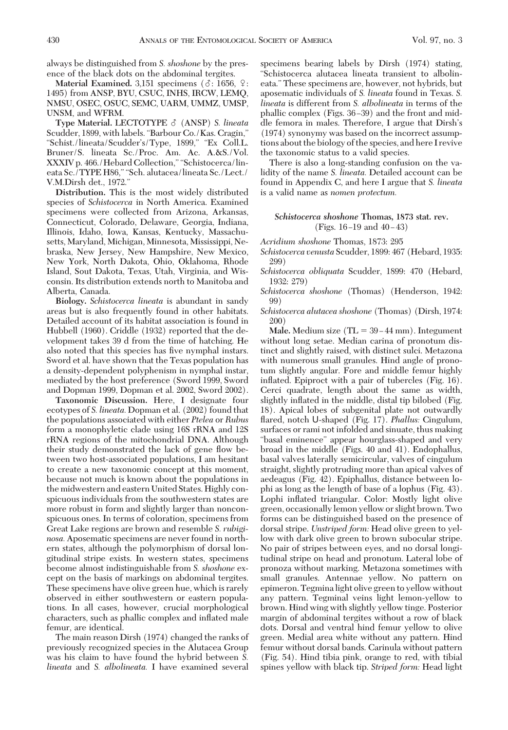always be distinguished from *S. shoshone* by the presence of the black dots on the abdominal tergites.

**Material Examined.** 3,151 specimens ( $\delta$ : 1656,  $\Omega$ : 1495) from ANSP, BYU, CSUC, INHS, IRCW, LEMQ, NMSU, OSEC, OSUC, SEMC, UARM, UMMZ, UMSP, UNSM, and WFRM.

**Type Material. LECTOTYPE**  $\delta$  **(ANSP)** *S. lineata* Scudder, 1899, with labels."Barbour Co./Kas. Cragin," "Schist./lineata/Scudder's/Type, 1899," "Ex Coll.L. Bruner/S. lineata Sc./Proc. Am. Ac. A.&S./Vol. XXXIV p. 466./Hebard Collection," "Schistocerca/lineata Sc./TYPE H86," "Sch. alutacea/lineata Sc./Lect./ V.M.Dirsh det., 1972."

**Distribution.** This is the most widely distributed species of *Schistocerca* in North America. Examined specimens were collected from Arizona, Arkansas, Connecticut, Colorado, Delaware, Georgia, Indiana, Illinois, Idaho, Iowa, Kansas, Kentucky, Massachusetts, Maryland, Michigan, Minnesota, Mississippi, Nebraska, New Jersey, New Hampshire, New Mexico, New York, North Dakota, Ohio, Oklahoma, Rhode Island, Sout Dakota, Texas, Utah, Virginia, and Wisconsin. Its distribution extends north to Manitoba and Alberta, Canada.

**Biology.** *Schistocerca lineata* is abundant in sandy areas but is also frequently found in other habitats. Detailed account of its habitat association is found in Hubbell (1960). Criddle (1932) reported that the development takes 39 d from the time of hatching. He also noted that this species has five nymphal instars. Sword et al. have shown that the Texas population has a density-dependent polyphenism in nymphal instar, mediated by the host preference (Sword 1999, Sword and Dopman 1999, Dopman et al. 2002, Sword 2002).

**Taxonomic Discussion.** Here, I designate four ecotypes of *S. lineata.* Dopman et al. (2002) found that the populations associated with either *Ptelea* or *Rubus* form a monophyletic clade using 16S rRNA and 12S rRNA regions of the mitochondrial DNA. Although their study demonstrated the lack of gene ßow between two host-associated populations, I am hesitant to create a new taxonomic concept at this moment, because not much is known about the populations in the midwestern and eastern United States. Highly conspicuous individuals from the southwestern states are more robust in form and slightly larger than nonconspicuous ones. In terms of coloration, specimens from Great Lake regions are brown and resemble *S. rubiginosa.* Aposematic specimens are never found in northern states, although the polymorphism of dorsal longitudinal stripe exists. In western states, specimens become almost indistinguishable from *S. shoshone* except on the basis of markings on abdominal tergites. These specimens have olive green hue, which is rarely observed in either southwestern or eastern populations. In all cases, however, crucial morphological characters, such as phallic complex and inßated male femur, are identical.

The main reason Dirsh (1974) changed the ranks of previously recognized species in the Alutacea Group was his claim to have found the hybrid between *S. lineata* and *S. albolineata.* I have examined several

specimens bearing labels by Dirsh (1974) stating, "Schistocerca alutacea lineata transient to albolineata." These specimens are, however, not hybrids, but aposematic individuals of *S. lineata* found in Texas. *S. lineata* is different from *S. albolineata* in terms of the phallic complex (Figs. 36–39) and the front and middle femora in males. Therefore, I argue that Dirsh's (1974) synonymy was based on the incorrect assumptions about the biology of the species, and here I revive the taxonomic status to a valid species.

There is also a long-standing confusion on the validity of the name *S. lineata.* Detailed account can be found in Appendix C, and here I argue that *S. lineata* is a valid name as *nomen protectum.*

## *Schistocerca shoshone* **Thomas, 1873 stat. rev.** (Figs.  $16 - 19$  and  $40 - 43$ )

*Acridium shoshone* Thomas, 1873: 295

- *Schistocerca venusta* Scudder, 1899: 467 (Hebard, 1935: 299)
- *Schistocerca obliquata* Scudder, 1899: 470 (Hebard, 1932: 279)
- *Schistocerca shoshone* (Thomas) (Henderson, 1942: 99)
- *Schistocerca alutacea shoshone* (Thomas) (Dirsh, 1974: 200)

**Male.** Medium size  $(TL = 39 - 44$  mm). Integument without long setae. Median carina of pronotum distinct and slightly raised, with distinct sulci. Metazona with numerous small granules. Hind angle of pronotum slightly angular. Fore and middle femur highly inflated. Epiproct with a pair of tubercles (Fig. 16). Cerci quadrate, length about the same as width, slightly inflated in the middle, distal tip bilobed (Fig. 18). Apical lobes of subgenital plate not outwardly ßared, notch U-shaped (Fig. 17). *Phallus:* Cingulum, surfaces or rami not infolded and sinuate, thus making "basal eminence" appear hourglass-shaped and very broad in the middle (Figs. 40 and 41). Endophallus, basal valves laterally semicircular, valves of cingulum straight, slightly protruding more than apical valves of aedeagus (Fig. 42). Epiphallus, distance between lophi as long as the length of base of a lophus (Fig. 43). Lophi inßated triangular. Color: Mostly light olive green, occasionally lemon yellow or slight brown. Two forms can be distinguished based on the presence of dorsal stripe. *Unstriped form:* Head olive green to yellow with dark olive green to brown subocular stripe. No pair of stripes between eyes, and no dorsal longitudinal stripe on head and pronotum. Lateral lobe of pronoza without marking. Metazona sometimes with small granules. Antennae yellow. No pattern on epimeron. Tegmina light olive green to yellow without any pattern. Tegminal veins light lemon-yellow to brown. Hind wing with slightly yellow tinge. Posterior margin of abdominal tergites without a row of black dots. Dorsal and ventral hind femur yellow to olive green. Medial area white without any pattern. Hind femur without dorsal bands. Carinula without pattern (Fig. 54). Hind tibia pink, orange to red, with tibial spines yellow with black tip. *Striped form:* Head light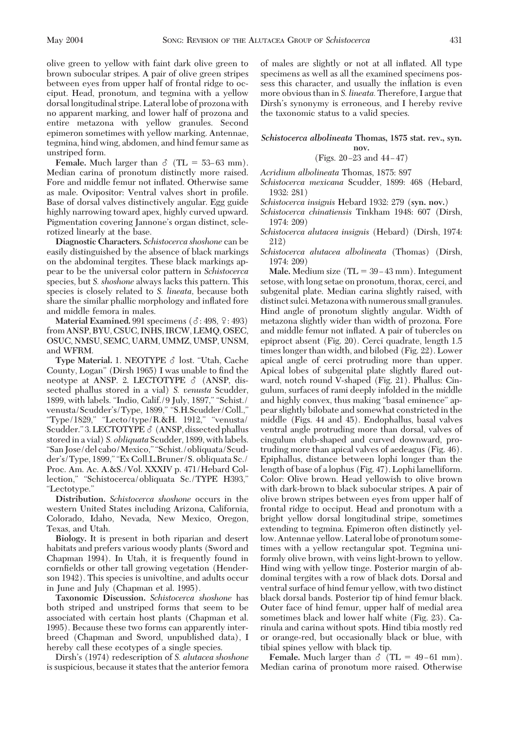olive green to yellow with faint dark olive green to brown subocular stripes. A pair of olive green stripes between eyes from upper half of frontal ridge to occiput. Head, pronotum, and tegmina with a yellow dorsal longitudinal stripe. Lateral lobe of prozona with no apparent marking, and lower half of prozona and entire metazona with yellow granules. Second epimeron sometimes with yellow marking. Antennae, tegmina, hind wing, abdomen, and hind femur same as unstriped form.

**Female.** Much larger than  $\delta$  (TL = 53–63 mm). Median carina of pronotum distinctly more raised. Fore and middle femur not inßated. Otherwise same as male. Ovipositor: Ventral valves short in profile. Base of dorsal valves distinctively angular. Egg guide highly narrowing toward apex, highly curved upward. Pigmentation covering Jannone's organ distinct, sclerotized linearly at the base.

**Diagnostic Characters.** *Schistocerca shoshone* can be easily distinguished by the absence of black markings on the abdominal tergites. These black markings appear to be the universal color pattern in *Schistocerca* species, but *S. shoshone* always lacks this pattern. This species is closely related to *S. lineata,* because both share the similar phallic morphology and inßated fore and middle femora in males.

**Material Examined.** 991 specimens  $(\delta: 498, \frac{9}{2}: 493)$ from ANSP, BYU, CSUC, INHS, IRCW, LEMQ, OSEC, OSUC, NMSU, SEMC, UARM, UMMZ, UMSP, UNSM, and WFRM.

Type Material. 1. NEOTYPE  $\delta$  lost. "Utah, Cache County, Logan" (Dirsh 1965) I was unable to find the neotype at ANSP. 2. LECTOTYPE  $\delta$  (ANSP, dissected phallus stored in a vial) *S. venusta* Scudder, 1899, with labels. "Indio, Calif./9 July, 1897," "Schist./ venusta/Scudder's/Type, 1899," "S.H.Scudder/Coll.," "Type/1829," "Lecto/type/R.&H. 1912," "venusta/ Scudder." 3. LECTOTYPE  $\delta$  (ANSP, dissected phallus stored in a vial) *S. obliquata* Scudder, 1899, with labels. "San Jose/del cabo/Mexico," "Schist./obliquata/Scudder's/Type, 1899," "Ex Coll.L.Bruner/S. obliquata Sc./ Proc. Am. Ac. A.&S./Vol. XXXIV p. 471/Hebard Collection," "Schistocerca/obliquata Sc./TYPE H393," "Lectotype."

**Distribution.** *Schistocerca shoshone* occurs in the western United States including Arizona, California, Colorado, Idaho, Nevada, New Mexico, Oregon, Texas, and Utah.

**Biology.** It is present in both riparian and desert habitats and prefers various woody plants (Sword and Chapman 1994). In Utah, it is frequently found in cornfields or other tall growing vegetation (Henderson 1942). This species is univoltine, and adults occur in June and July (Chapman et al. 1995).

**Taxonomic Discussion.** *Schistocerca shoshone* has both striped and unstriped forms that seem to be associated with certain host plants (Chapman et al. 1995). Because these two forms can apparently interbreed (Chapman and Sword, unpublished data), I hereby call these ecotypes of a single species.

Dirsh's (1974) redescription of *S. alutacea shoshone* is suspicious, because it states that the anterior femora of males are slightly or not at all inßated. All type specimens as well as all the examined specimens possess this character, and usually the inflation is even more obvious than in *S. lineata.* Therefore, I argue that Dirsh's synonymy is erroneous, and I hereby revive the taxonomic status to a valid species.

*Schistocerca albolineata* **Thomas, 1875 stat. rev., syn. nov.**

(Figs.  $20 - 23$  and  $44 - 47$ )

*Acridium albolineata* Thomas, 1875: 897

*Schistocerca mexicana* Scudder, 1899: 468 (Hebard, 1932: 281)

*Schistocerca insignis* Hebard 1932: 279 (**syn. nov.**)

*Schistocerca chinatiensis* Tinkham 1948: 607 (Dirsh, 1974: 209)

*Schistocerca alutacea insignis* (Hebard) (Dirsh, 1974: 212)

*Schistocerca alutacea albolineata* (Thomas) (Dirsh, 1974: 209)

**Male.** Medium size  $(T<sub>L</sub> = 39-43$  mm). Integument setose, with long setae on pronotum, thorax, cerci, and subgenital plate. Median carina slightly raised, with distinct sulci. Metazona with numerous small granules. Hind angle of pronotum slightly angular. Width of metazona slightly wider than width of prozona. Fore and middle femur not inßated. A pair of tubercles on epiproct absent (Fig. 20). Cerci quadrate, length 1.5 times longer than width, and bilobed (Fig. 22). Lower apical angle of cerci protruding more than upper. Apical lobes of subgenital plate slightly ßared outward, notch round V-shaped (Fig. 21). Phallus: Cingulum, surfaces of rami deeply infolded in the middle and highly convex, thus making "basal eminence" appear slightly bilobate and somewhat constricted in the middle (Figs. 44 and 45). Endophallus, basal valves ventral angle protruding more than dorsal, valves of cingulum club-shaped and curved downward, protruding more than apical valves of aedeagus (Fig. 46). Epiphallus, distance between lophi longer than the length of base of a lophus (Fig. 47). Lophi lamelliform. Color: Olive brown. Head yellowish to olive brown with dark-brown to black subocular stripes. A pair of olive brown stripes between eyes from upper half of frontal ridge to occiput. Head and pronotum with a bright yellow dorsal longitudinal stripe, sometimes extending to tegmina. Epimeron often distinctly yellow. Antennae yellow. Lateral lobe of pronotum sometimes with a yellow rectangular spot. Tegmina uniformly olive brown, with veins light-brown to yellow. Hind wing with yellow tinge. Posterior margin of abdominal tergites with a row of black dots. Dorsal and ventral surface of hind femur yellow, with two distinct black dorsal bands. Posterior tip of hind femur black. Outer face of hind femur, upper half of medial area sometimes black and lower half white (Fig. 23). Carinula and carina without spots. Hind tibia mostly red or orange-red, but occasionally black or blue, with tibial spines yellow with black tip.

**Female.** Much larger than  $\delta$  (TL = 49-61 mm). Median carina of pronotum more raised. Otherwise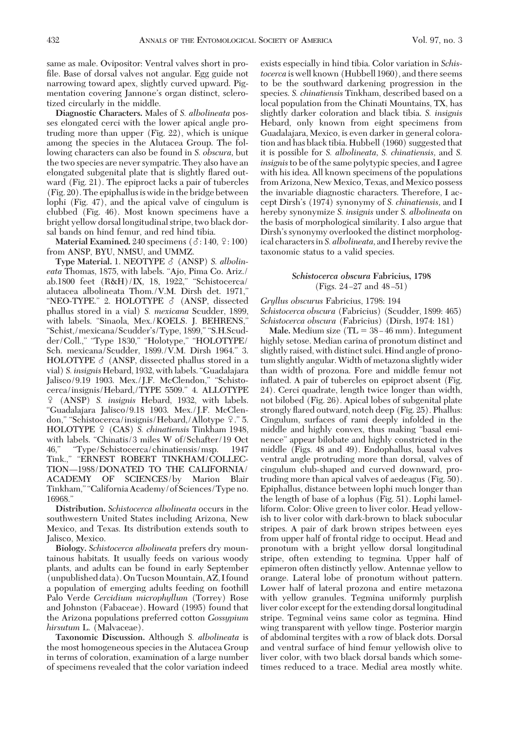same as male. Ovipositor: Ventral valves short in profile. Base of dorsal valves not angular. Egg guide not narrowing toward apex, slightly curved upward. Pigmentation covering Jannone's organ distinct, sclerotized circularly in the middle.

**Diagnostic Characters.** Males of *S. albolineata* posses elongated cerci with the lower apical angle protruding more than upper (Fig. 22), which is unique among the species in the Alutacea Group. The following characters can also be found in *S. obscura,* but the two species are never sympatric. They also have an elongated subgenital plate that is slightly ßared outward (Fig. 21). The epiproct lacks a pair of tubercles (Fig. 20). The epiphallus is wide in the bridge between lophi (Fig. 47), and the apical valve of cingulum is clubbed (Fig. 46). Most known specimens have a bright yellow dorsal longitudinal stripe, two black dorsal bands on hind femur, and red hind tibia.

Material Examined.  $240$  specimens  $(3:140, 9:100)$ from ANSP, BYU, NMSU, and UMMZ.

**Type Material.** 1. NEOTYPE  $\delta$  (ANSP) *S. albolineata* Thomas, 1875, with labels. "Ajo, Pima Co. Ariz./ ab.1800 feet (R&H)/IX, 18, 1922," "Schistocerca/ alutacea albolineata Thom./V.M. Dirsh det. 1971," "NEO-TYPE." 2. HOLOTYPE  $\delta$  (ANSP, dissected phallus stored in a vial) *S. mexicana* Scudder, 1899, with labels. "Sinaola, Mex./KOELS. J. BEHRENS," "Schist,/mexicana/Scudder's/Type, 1899," "S.H.Scudder/Coll.," "Type 1830," "Holotype," "HOLOTYPE/ Sch. mexicana/Scudder, 1899./V.M. Dirsh 1964." 3. HOLOTYPE  $\delta$  (ANSP, dissected phallus stored in a vial) *S. insignis* Hebard, 1932, with labels."Guadalajara Jalisco/9.19 1903. Mex./J.F. McClendon," "Schistocerca/insignis/Hebard,/TYPE 5509." 4. ALLOTYPE (ANSP) *S. insignis* Hebard, 1932, with labels. "Guadalajara Jalisco/9.18 1903. Mex./J.F. McClendon," "Schistocerca/insignis/Hebard,/Allotype 9." 5. HOLOTYPE (CAS) *S. chinatiensis* Tinkham 1948, with labels. "Chinatis/3 miles W of/Schafter/19 Oct 46," "Type/Schistocerca/chinatiensis/msp. 1947 Tink.," "ERNEST ROBERT TINKHAM/COLLEC-TION-1988/DONATED TO THE CALIFORNIA/ ACADEMY OF SCIENCES/by Marion Blair Tinkham," "California Academy/of Sciences/Type no. 16968."

**Distribution.** *Schistocerca albolineata* occurs in the southwestern United States including Arizona, New Mexico, and Texas. Its distribution extends south to Jalisco, Mexico.

**Biology.** *Schistocerca albolineata* prefers dry mountainous habitats. It usually feeds on various woody plants, and adults can be found in early September (unpublished data). On Tucson Mountain, AZ, I found a population of emerging adults feeding on foothill Palo Verde *Cercidium microphyllum* (Torrey) Rose and Johnston (Fabaceae). Howard (1995) found that the Arizona populations preferred cotton *Gossypium hirsutum* L. (Malvaceae).

**Taxonomic Discussion.** Although *S. albolineata* is the most homogeneous species in the Alutacea Group in terms of coloration, examination of a large number of specimens revealed that the color variation indeed exists especially in hind tibia. Color variation in *Schistocerca* is well known (Hubbell 1960), and there seems to be the southward darkening progression in the species. *S. chinatiensis* Tinkham, described based on a local population from the Chinati Mountains, TX, has slightly darker coloration and black tibia. *S. insignis* Hebard, only known from eight specimens from Guadalajara, Mexico, is even darker in general coloration and has black tibia. Hubbell (1960) suggested that it is possible for *S. albolineata, S. chinatiensis,* and *S. insignis*to be of the same polytypic species, and I agree with his idea. All known specimens of the populations from Arizona, New Mexico, Texas, and Mexico possess the invariable diagnostic characters. Therefore, I accept Dirsh's (1974) synonymy of *S. chinatiensis*, and I hereby synonymize *S. insignis* under *S. albolineata* on the basis of morphological similarity. I also argue that Dirsh's synonymy overlooked the distinct morphological charactersin*S. albolineata,* and I hereby revive the taxonomic status to a valid species.

#### *Schistocerca obscura* **Fabricius, 1798** (Figs.  $24-27$  and  $48-51$ )

*Gryllus obscurus* Fabricius, 1798: 194 *Schistocerca obscura* (Fabricius) (Scudder, 1899: 465) *Schistocerca obscura* (Fabricius) (Dirsh, 1974: 181)

**Male.** Medium size  $(TL = 38 - 46$  mm). Integument highly setose. Median carina of pronotum distinct and slightly raised, with distinct sulci. Hind angle of pronotum slightly angular.Width of metazona slightly wider than width of prozona. Fore and middle femur not inflated. A pair of tubercles on epiproct absent (Fig. 24). Cerci quadrate, length twice longer than width, not bilobed (Fig. 26). Apical lobes of subgenital plate strongly ßared outward, notch deep (Fig. 25). Phallus: Cingulum, surfaces of rami deeply infolded in the middle and highly convex, thus making "basal eminence" appear bilobate and highly constricted in the middle (Figs. 48 and 49). Endophallus, basal valves ventral angle protruding more than dorsal, valves of cingulum club-shaped and curved downward, protruding more than apical valves of aedeagus (Fig. 50). Epiphallus, distance between lophi much longer than the length of base of a lophus (Fig. 51). Lophi lamelliform. Color: Olive green to liver color. Head yellowish to liver color with dark-brown to black subocular stripes. A pair of dark brown stripes between eyes from upper half of frontal ridge to occiput. Head and pronotum with a bright yellow dorsal longitudinal stripe, often extending to tegmina. Upper half of epimeron often distinctly yellow. Antennae yellow to orange. Lateral lobe of pronotum without pattern. Lower half of lateral prozona and entire metazona with yellow granules. Tegmina uniformly purplish liver color except for the extending dorsal longitudinal stripe. Tegminal veins same color as tegmina. Hind wing transparent with yellow tinge. Posterior margin of abdominal tergites with a row of black dots. Dorsal and ventral surface of hind femur yellowish olive to liver color, with two black dorsal bands which sometimes reduced to a trace. Medial area mostly white.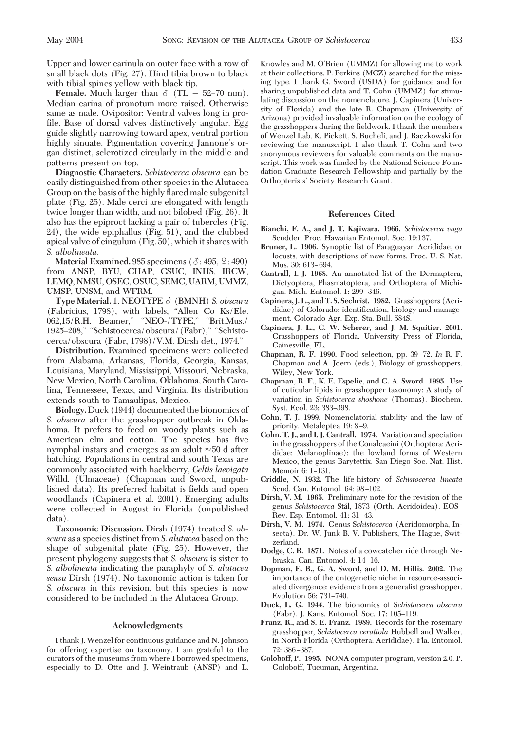Upper and lower carinula on outer face with a row of small black dots (Fig. 27). Hind tibia brown to black with tibial spines yellow with black tip.

**Female.** Much larger than  $\delta$  (TL = 52–70 mm). Median carina of pronotum more raised. Otherwise same as male. Ovipositor: Ventral valves long in profile. Base of dorsal valves distinctively angular. Egg guide slightly narrowing toward apex, ventral portion highly sinuate. Pigmentation covering Jannone's organ distinct, sclerotized circularly in the middle and patterns present on top.

**Diagnostic Characters.** *Schistocerca obscura* can be easily distinguished from other species in the Alutacea Group on the basis of the highly ßared male subgenital plate (Fig. 25). Male cerci are elongated with length twice longer than width, and not bilobed (Fig. 26). It also has the epiproct lacking a pair of tubercles (Fig. 24), the wide epiphallus (Fig. 51), and the clubbed apical valve of cingulum (Fig. 50), which it shares with *S. albolineata.*

**Material Examined.** 985 specimens  $(\delta: 495, \frac{9}{2}: 490)$ from ANSP, BYU, CHAP, CSUC, INHS, IRCW, LEMQ, NMSU, OSEC, OSUC, SEMC, UARM, UMMZ, UMSP, UNSM, and WFRM.

Type Material. 1. NEOTYPE  $\delta$  (BMNH) *S. obscura* (Fabricius, 1798), with labels, "Allen Co Ks/Ele. 062,15/R.H. Beamer," "NEO-/TYPE," "Brit.Mus./ 1925-208," "Schistocerca/obscura/(Fabr)," "Schistocerca/obscura (Fabr, 1798)/V.M. Dirsh det., 1974."

**Distribution.** Examined specimens were collected from Alabama, Arkansas, Florida, Georgia, Kansas, Louisiana, Maryland, Mississippi, Missouri, Nebraska, New Mexico, North Carolina, Oklahoma, South Carolina, Tennessee, Texas, and Virginia. Its distribution extends south to Tamaulipas, Mexico.

**Biology.** Duck (1944) documented the bionomics of *S. obscura* after the grasshopper outbreak in Oklahoma. It prefers to feed on woody plants such as American elm and cotton. The species has five nymphal instars and emerges as an adult  $\approx 50$  d after hatching. Populations in central and south Texas are commonly associated with hackberry, *Celtis laevigata* Willd. (Ulmaceae) (Chapman and Sword, unpublished data). Its preferred habitat is fields and open woodlands (Capinera et al. 2001). Emerging adults were collected in August in Florida (unpublished data).

**Taxonomic Discussion.** Dirsh (1974) treated *S. obscura* as a species distinct from *S. alutacea* based on the shape of subgenital plate (Fig. 25). However, the present phylogeny suggests that *S. obscura* is sister to *S. albolineata* indicating the paraphyly of *S. alutacea sensu* Dirsh (1974). No taxonomic action is taken for *S. obscura* in this revision, but this species is now considered to be included in the Alutacea Group.

#### **Acknowledgments**

I thank J. Wenzel for continuous guidance and N. Johnson for offering expertise on taxonomy. I am grateful to the curators of the museums from where I borrowed specimens, especially to D. Otte and J. Weintraub (ANSP) and L. Knowles and M. O'Brien (UMMZ) for allowing me to work at their collections. P. Perkins (MCZ) searched for the missing type. I thank G. Sword (USDA) for guidance and for sharing unpublished data and T. Cohn (UMMZ) for stimulating discussion on the nomenclature. J. Capinera (University of Florida) and the late R. Chapman (University of Arizona) provided invaluable information on the ecology of the grasshoppers during the fieldwork. I thank the members of Wenzel Lab, K. Pickett, S. Bucheli, and J. Raczkowski for reviewing the manuscript. I also thank T. Cohn and two anonymous reviewers for valuable comments on the manuscript. This work was funded by the National Science Foundation Graduate Research Fellowship and partially by the Orthopterists' Society Research Grant.

#### **References Cited**

- **Bianchi, F. A., and J. T. Kajiwara. 1966.** *Schistocerca vaga* Scudder. Proc. Hawaiian Entomol. Soc. 19:137.
- **Bruner, L. 1906.** Synoptic list of Paraguayan Acrididae, or locusts, with descriptions of new forms. Proc. U. S. Nat. Mus. 30: 613-694.
- **Cantrall, I. J. 1968.** An annotated list of the Dermaptera, Dictyoptera, Phasmatoptera, and Orthoptera of Michigan. Mich. Entomol. 1: 299-346.
- **Capinera, J. L., and T. S. Sechrist. 1982.** Grasshoppers (Acrididae) of Colorado: identification, biology and management. Colorado Agr. Exp. Sta. Bull. 584S.
- **Capinera, J. L., C. W. Scherer, and J. M. Squitier. 2001.** Grasshoppers of Florida. University Press of Florida, Gainesville, FL.
- **Chapman, R. F. 1990.** Food selection, pp. 39-72. *In* R. F. Chapman and A. Joern (eds.), Biology of grasshoppers. Wiley, New York.
- **Chapman, R. F., K. E. Espelie, and G. A. Sword. 1995.** Use of cuticular lipids in grasshopper taxonomy: A study of variation in *Schistocerca shoshone* (Thomas). Biochem. Syst. Ecol. 23: 383-398.
- **Cohn, T. J. 1999.** Nomenclatorial stability and the law of priority. Metaleptea 19: 8-9.
- **Cohn, T. J., and I. J. Cantrall. 1974.** Variation and speciation in the grasshoppers of the Conalcaeini (Orthoptera: Acrididae: Melanoplinae): the lowland forms of Western Mexico, the genus Barytettix. San Diego Soc. Nat. Hist. Memoir 6: 1-131.
- **Criddle, N. 1932.** The life-history of *Schistocerca lineata* Scud. Can. Entomol. 64: 98-102.
- **Dirsh, V. M. 1965.** Preliminary note for the revision of the genus *Schistocerca* Stål, 1873 (Orth. Acridoidea). EOS– Rev. Esp. Entomol. 41: 31-43.
- **Dirsh, V. M. 1974.** Genus S*chistocerca* (Acridomorpha, Insecta). Dr. W. Junk B. V. Publishers, The Hague, Switzerland.
- **Dodge, C. R. 1871.** Notes of a cowcatcher ride through Nebraska. Can. Entomol. 4: 14-16.
- **Dopman, E. B., G. A. Sword, and D. M. Hillis. 2002.** The importance of the ontogenetic niche in resource-associated divergence: evidence from a generalist grasshopper. Evolution 56: 731-740.
- **Duck, L. G. 1944.** The bionomics of S*chistocerca obscura* (Fabr). J. Kans. Entomol. Soc. 17: 105-119.
- **Franz, R., and S. E. Franz. 1989.** Records for the rosemary grasshopper, S*chistocerca ceratiola* Hubbell and Walker, in North Florida (Orthoptera: Acrididae). Fla. Entomol. 72: 386-387.
- **Goloboff, P. 1995.** NONA computer program, version 2.0. P. Goloboff, Tucuman, Argentina.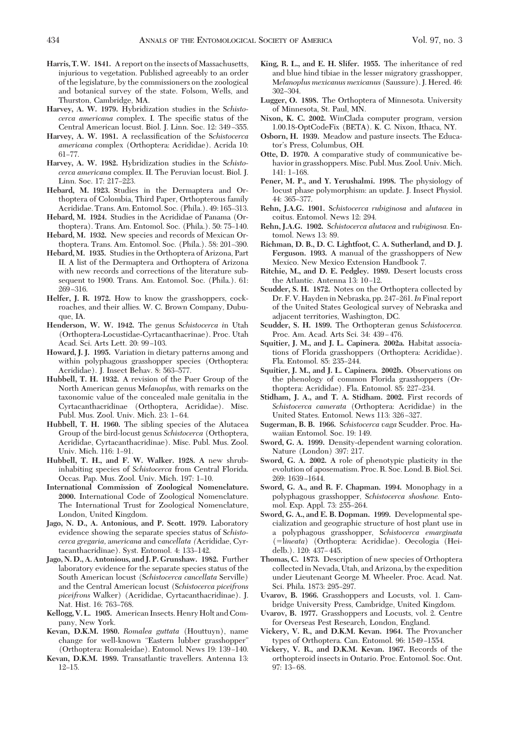- Harris, T.W. 1841. A report on the insects of Massachusetts, injurious to vegetation. Published agreeably to an order of the legislature, by the commissioners on the zoological and botanical survey of the state. Folsom, Wells, and Thurston, Cambridge, MA.
- **Harvey, A. W. 1979.** Hybridization studies in the S*chistocerca americana complex.* I. The specific status of the Central American locust. Biol. J. Linn. Soc. 12: 349-355.
- Harvey, A. W. 1981. A reclassification of the *Schistocerca americana c*omplex (Orthoptera: Acrididae). Acrida 10:  $61 - 77$ .
- **Harvey, A. W. 1982.** Hybridization studies in the S*chistocerca americana* complex. II. The Peruvian locust. Biol. J. Linn. Soc. 17: 217-223.
- **Hebard, M. 1923.** Studies in the Dermaptera and Orthoptera of Colombia, Third Paper, Orthopterous family Acrididae. Trans. Am. Entomol. Soc. (Phila.). 49: 165-313.
- **Hebard, M. 1924.** Studies in the Acrididae of Panama (Orthoptera). Trans. Am. Entomol. Soc. (Phila.). 50: 75–140.
- **Hebard, M. 1932.** New species and records of Mexican Orthoptera. Trans. Am. Entomol. Soc. (Phila.). 58: 201-390.
- **Hebard, M. 1935.** Studies in the Orthoptera of Arizona, Part II. A list of the Dermaptera and Orthoptera of Arizona with new records and corrections of the literature subsequent to 1900. Trans. Am. Entomol. Soc. (Phila.). 61: 269-316.
- **Helfer, J. R. 1972.** How to know the grasshoppers, cockroaches, and their allies. W. C. Brown Company, Dubuque, IA.
- **Henderson, W. W. 1942.** The genus S*chistocerca i*n Utah (Orthoptera-Locustidae-Cyrtacanthacrinae). Proc. Utah Acad. Sci. Arts Lett. 20: 99-103.
- **Howard, J. J. 1995.** Variation in dietary patterns among and within polyphagous grasshopper species (Orthoptera: Acrididae). J. Insect Behav. 8: 563-577.
- **Hubbell, T. H. 1932.** A revision of the Puer Group of the North American genus M*elanoplus,* with remarks on the taxonomic value of the concealed male genitalia in the Cyrtacanthacridinae (Orthoptera, Acrididae). Misc. Publ. Mus. Zool. Univ. Mich. 23: 1-64.
- **Hubbell, T. H. 1960.** The sibling species of the Alutacea Group of the bird-locust genus *Schistocerca* (Orthoptera, Acrididae, Cyrtacanthacridinae). Misc. Publ. Mus. Zool. Univ. Mich. 116: 1-91.
- **Hubbell, T. H., and F. W. Walker. 1928.** A new shrubinhabiting species of *Schistocerca* from Central Florida. Occas. Pap. Mus. Zool. Univ. Mich. 197: 1-10.
- **International Commission of Zoological Nomenclature. 2000.** International Code of Zoological Nomenclature. The International Trust for Zoological Nomenclature, London, United Kingdom.
- **Jago, N. D., A. Antonious, and P. Scott. 1979.** Laboratory evidence showing the separate species status of S*chistocerca gregaria,* a*mericana* and c*ancellata (*Acrididae, Cyrtacanthacridinae). Syst. Entomol. 4: 133-142.
- **Jago, N. D., A. Antonious, and J. P. Grunshaw. 1982.** Further laboratory evidence for the separate species status of the South American locust (S*chistocerca cancellata* Serville) and the Central American locust (S*chistocerca piceifrons piceifrons* Walker) (Acrididae, Cyrtacanthacridinae). J. Nat. Hist. 16: 763-768.
- **Kellogg, V. L. 1905.** American Insects. Henry Holt and Company, New York.
- **Kevan, D.K.M. 1980.** *Romalea guttata* (Houttuyn), name change for well-known "Eastern lubber grasshopper" (Orthoptera: Romaleidae). Entomol. News 19: 139-140.
- **Kevan, D.K.M. 1989.** Transatlantic travellers. Antenna 13:  $12 - 15.$
- **King, R. L., and E. H. Slifer. 1955.** The inheritance of red and blue hind tibiae in the lesser migratory grasshopper, M*elanoplus mexicanus mexicanus* (Saussure). J. Hered. 46: 302–304.
- **Lugger, O. 1898.** The Orthoptera of Minnesota. University of Minnesota, St. Paul, MN.
- **Nixon, K. C. 2002.** WinClada computer program, version 1.00.18-OptCodeFix (BETA). K. C. Nixon, Ithaca, NY.
- **Osborn, H. 1939.** Meadow and pasture insects. The Educator's Press, Columbus, OH.
- **Otte, D. 1970.** A comparative study of communicative behavior in grasshoppers. Misc. Publ. Mus. Zool. Univ. Mich. 141: 1-168.
- **Pener, M. P., and Y. Yerushalmi. 1998.** The physiology of locust phase polymorphism: an update. J. Insect Physiol. 44: 365-377.
- **Rehn, J.A.G. 1901.** S*chistocerca rubiginosa* and a*lutacea* in coitus. Entomol. News 12: 294.
- **Rehn, J.A.G. 1902.** S*chistocerca alutacea* and r*ubiginosa.* Entomol. News 13: 89.
- **Richman, D. B., D. C. Lightfoot, C. A. Sutherland, and D. J. Ferguson. 1993.** A manual of the grasshoppers of New Mexico. New Mexico Extension Handbook 7.
- **Ritchie, M., and D. E. Pedgley. 1989.** Desert locusts cross the Atlantic. Antenna 13: 10-12.
- **Scudder, S. H. 1872.** Notes on the Orthoptera collected by Dr. F. V. Hayden in Nebraska, pp. 247–261. In Final report of the United States Geological survey of Nebraska and adjacent territories, Washington, DC.
- **Scudder, S. H. 1899.** The Orthopteran genus S*chistocerca.* Proc. Am. Acad. Arts Sci. 34: 439-476.
- **Squitier, J. M., and J. L. Capinera. 2002a.** Habitat associations of Florida grasshoppers (Orthoptera: Acrididae). Fla. Entomol. 85: 235-244.
- **Squitier, J. M., and J. L. Capinera. 2002b.** Observations on the phenology of common Florida grasshoppers (Orthoptera: Acrididae). Fla. Entomol. 85: 227-234.
- **Stidham, J. A., and T. A. Stidham. 2002.** First records of *Schistocerca camerata* (Orthoptera: Acrididae) in the United States. Entomol. News 113: 326-327.
- **Sugerman, B. B. 1966.** S*chistocerca vaga* Scudder. Proc. Hawaiian Entomol. Soc. 19: 149.
- **Sword, G. A. 1999.** Density-dependent warning coloration. Nature (London) 397: 217.
- **Sword, G. A. 2002.** A role of phenotypic plasticity in the evolution of aposematism. Proc. R. Soc. Lond. B. Biol. Sci. 269: 1639-1644.
- **Sword, G. A., and R. F. Chapman. 1994.** Monophagy in a polyphagous grasshopper, S*chistocerca shoshone.* Entomol. Exp. Appl. 73: 255-264.
- **Sword, G. A., and E. B. Dopman. 1999.** Developmental specialization and geographic structure of host plant use in a polyphagous grasshopper, S*chistocerca emarginata* (l*ineata*) (Orthoptera: Acrididae). Oecologia (Heidelb.). 120: 437-445.
- **Thomas, C. 1873.** Description of new species of Orthoptera collected in Nevada, Utah, and Arizona, by the expedition under Lieutenant George M. Wheeler. Proc. Acad. Nat. Sci. Phila. 1873: 295-297.
- **Uvarov, B. 1966.** Grasshoppers and Locusts, vol. 1. Cambridge University Press, Cambridge, United Kingdom.
- **Uvarov, B. 1977.** Grasshoppers and Locusts, vol. 2. Centre for Overseas Pest Research, London, England.
- **Vickery, V. R., and D.K.M. Kevan. 1964.** The Provancher types of Orthoptera. Can. Entomol. 96: 1549-1554.
- **Vickery, V. R., and D.K.M. Kevan. 1967.** Records of the orthopteroid insects in Ontario. Proc. Entomol. Soc. Ont.  $97: 13-68.$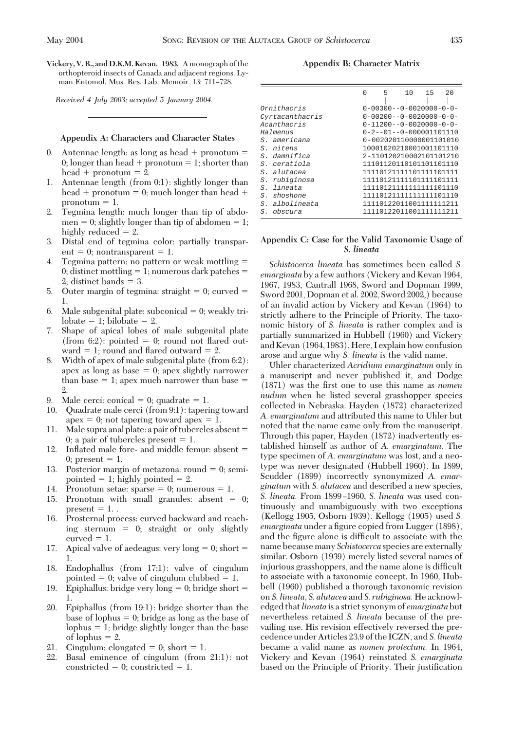**Vickery, V. R., and D.K.M. Kevan. 1983.** A monograph of the orthopteroid insects of Canada and adjacent regions. Lyman Entomol. Mus. Res. Lab. Memoir. 13: 711-728.

*Received 4 July 2003; accepted 5 January 2004.*

#### **Appendix A: Characters and Character States**

- 0. Antennae length: as long as head  $+$  pronotum  $=$ 0; longer than head + pronotum = 1; shorter than  $head +$  pronotum = 2.
- 1. Antennae length (from 0:1): slightly longer than  $head +$  pronotum = 0; much longer than head  $+$ pronotum  $= 1$ .
- 2. Tegmina length: much longer than tip of abdomen  $= 0$ ; slightly longer than tip of abdomen  $= 1$ ; highly reduced  $= 2$ .
- 3. Distal end of tegmina color: partially transpar $ent = 0; nontransport = 1.$
- 4. Tegmina pattern: no pattern or weak mottling 0; distinct mottling  $= 1$ ; numerous dark patches  $=$ 2; distinct bands  $=$  3.
- 5. Outer margin of tegmina: straight  $= 0$ ; curved  $=$ 1.
- 6. Male subgenital plate: subconical  $= 0$ ; weakly tri $lobate = 1$ ; bilobate  $= 2$ .
- 7. Shape of apical lobes of male subgenital plate (from 6:2): pointed  $= 0$ ; round not flared outward  $= 1$ ; round and flared outward  $= 2$ .
- 8. Width of apex of male subgenital plate (from 6:2): apex as long as base  $= 0$ ; apex slightly narrower than base  $= 1$ ; apex much narrower than base  $=$ 2.
- 9. Male cerci: conical  $= 0$ ; quadrate  $= 1$ .
- 10. Quadrate male cerci (from 9:1): tapering toward  $apex = 0$ ; not tapering toward apex  $= 1$ .
- 11. Male supra anal plate: a pair of tubercles absent 0; a pair of tubercles present  $= 1$ .
- 12. Inßated male fore- and middle femur: absent 0; present  $= 1$ .
- 13. Posterior margin of metazona: round  $= 0$ ; semipointed  $= 1$ ; highly pointed  $= 2$ .
- 14. Pronotum setae: sparse  $= 0$ ; numerous  $= 1$ .
- 15. Pronotum with small granules: absent  $= 0$ ; present  $= 1$ .
- 16. Prosternal process: curved backward and reaching sternum  $= 0$ ; straight or only slightly curved  $= 1$ .
- 17. Apical valve of aedeagus: very  $long = 0$ ; short  $=$ 1.
- 18. Endophallus (from 17:1): valve of cingulum pointed  $= 0$ ; valve of cingulum clubbed  $= 1$ .
- 19. Epiphallus: bridge very long  $= 0$ ; bridge short  $=$ 1.
- 20. Epiphallus (from 19:1): bridge shorter than the base of lophus  $= 0$ ; bridge as long as the base of lophus  $= 1$ ; bridge slightly longer than the base of lophus  $= 2$ .
- 21. Cingulum: elongated  $= 0$ ; short  $= 1$ .
- 22. Basal eminence of cingulum (from 21:1): not constricted  $= 0$ ; constricted  $= 1$ .

**Appendix B: Character Matrix**

|                |                     | 5 | 10                                  | 1.5 | 2.0 |
|----------------|---------------------|---|-------------------------------------|-----|-----|
|                | Ornithacris         |   | $0 - 00300 - 0 - 0020000 - 0 - 0 -$ |     |     |
|                | Cyrtacanthacris     |   | $0 - 00200 - 0 - 0020000 - 0 - 0 -$ |     |     |
|                | Acanthacris         |   | $0 - 11200 - 0 - 0020000 - 0 - 0 -$ |     |     |
|                | Halmenus            |   | $0 - 2 - -01 - -0 - 000001101110$   |     |     |
|                | <i>S. americana</i> |   | 0-002020110000001101010             |     |     |
|                | S. nitens           |   | 10001020210001001101110             |     |     |
|                | S. damnifica        |   | 2-110120210002101101210             |     |     |
|                | <i>S. ceratiola</i> |   | 11101120110101101101110             |     |     |
|                | S. alutacea         |   | 11110121111101111101111             |     |     |
| S.             | rubiginosa          |   | 11110121111101111101111             |     |     |
| $S_{-}$        | lineata             |   | 11110121111111111101110             |     |     |
|                | S. shoshone         |   | 11110121111111111101110             |     |     |
| S <sub>1</sub> | albolineata         |   | 11110122011001111111211             |     |     |
|                | S. obscura          |   | 11110122011001111111211             |     |     |

#### **Appendix C: Case for the Valid Taxonomic Usage of** *S. lineata*

*Schistocerca lineata* has sometimes been called *S. emarginata* by a few authors (Vickery and Kevan 1964, 1967, 1983, Cantrall 1968, Sword and Dopman 1999, Sword 2001, Dopman et al. 2002, Sword 2002,) because of an invalid action by Vickery and Kevan (1964) to strictly adhere to the Principle of Priority. The taxonomic history of *S. lineata* is rather complex and is partially summarized in Hubbell (1960) and Vickery and Kevan (1964, 1983). Here, I explain how confusion arose and argue why *S. lineata* is the valid name.

Uhler characterized *Acridium emarginatum* only in a manuscript and never published it, and Dodge (1871) was the Þrst one to use this name as *nomen nudum* when he listed several grasshopper species collected in Nebraska. Hayden (1872) characterized *A. emarginatum* and attributed this name to Uhler but noted that the name came only from the manuscript. Through this paper, Hayden (1872) inadvertently established himself as author of *A. emarginatum.* The type specimen of *A. emarginatum* was lost, and a neotype was never designated (Hubbell 1960). In 1899, Scudder (1899) incorrectly synonymized *A. emarginatum* with *S. alutacea* and described a new species, *S. lineata.* From 1899-1960, *S. lineata* was used continuously and unambiguously with two exceptions (Kellogg 1905, Osborn 1939). Kellogg (1905) used *S. emarginata* under a figure copied from Lugger (1898), and the figure alone is difficult to associate with the name because many *Schistocerca* species are externally similar. Osborn (1939) merely listed several names of injurious grasshoppers, and the name alone is difficult to associate with a taxonomic concept. In 1960, Hubbell (1960) published a thorough taxonomic revision on *S. lineata, S. alutacea* and *S. rubiginosa.* He acknowledged that*lineata* is a strict synonym of *emarginata* but nevertheless retained *S. lineata* because of the prevailing use. His revision effectively reversed the precedence under Articles 23.9 of the ICZN, and *S. lineata* became a valid name as *nomen protectum.* In 1964, Vickery and Kevan (1964) reinstated *S. emarginata* based on the Principle of Priority. Their justification